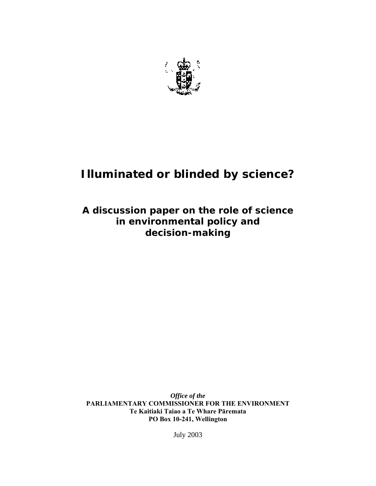

# **Illuminated or blinded by science?**

**A discussion paper on the role of science in environmental policy and decision-making** 

*Office of the*  **PARLIAMENTARY COMMISSIONER FOR THE ENVIRONMENT Te Kaitiaki Taiao a Te Whare Pāremata PO Box 10-241, Wellington** 

July 2003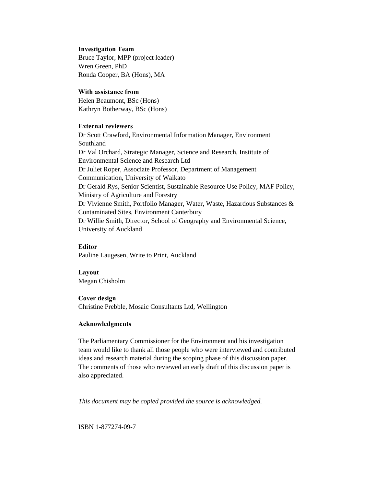#### **Investigation Team**

Bruce Taylor, MPP (project leader) Wren Green, PhD Ronda Cooper, BA (Hons), MA

#### **With assistance from**

Helen Beaumont, BSc (Hons) Kathryn Botherway, BSc (Hons)

#### **External reviewers**

Dr Scott Crawford, Environmental Information Manager, Environment Southland Dr Val Orchard, Strategic Manager, Science and Research, Institute of Environmental Science and Research Ltd Dr Juliet Roper, Associate Professor, Department of Management Communication, University of Waikato Dr Gerald Rys, Senior Scientist, Sustainable Resource Use Policy, MAF Policy, Ministry of Agriculture and Forestry Dr Vivienne Smith, Portfolio Manager, Water, Waste, Hazardous Substances & Contaminated Sites, Environment Canterbury Dr Willie Smith, Director, School of Geography and Environmental Science, University of Auckland

#### **Editor**

Pauline Laugesen, Write to Print, Auckland

### **Layout**

Megan Chisholm

#### **Cover design**

Christine Prebble, Mosaic Consultants Ltd, Wellington

#### **Acknowledgments**

The Parliamentary Commissioner for the Environment and his investigation team would like to thank all those people who were interviewed and contributed ideas and research material during the scoping phase of this discussion paper. The comments of those who reviewed an early draft of this discussion paper is also appreciated.

*This document may be copied provided the source is acknowledged.* 

ISBN 1-877274-09-7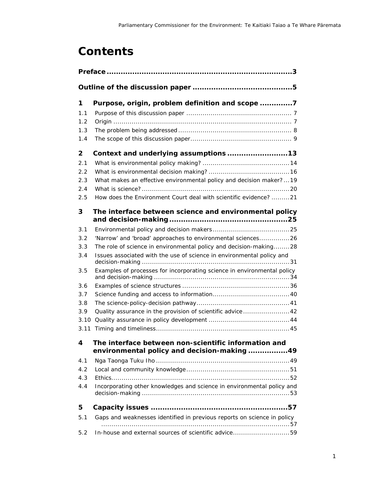# **Contents**

| 1    | Purpose, origin, problem definition and scope 7                                                     |  |  |
|------|-----------------------------------------------------------------------------------------------------|--|--|
| 1.1  |                                                                                                     |  |  |
| 1.2  |                                                                                                     |  |  |
| 1.3  |                                                                                                     |  |  |
| 1.4  |                                                                                                     |  |  |
| 2    | Context and underlying assumptions 13                                                               |  |  |
| 2.1  |                                                                                                     |  |  |
| 2.2  |                                                                                                     |  |  |
| 2.3  | What makes an effective environmental policy and decision maker?19                                  |  |  |
| 2.4  |                                                                                                     |  |  |
| 2.5  | How does the Environment Court deal with scientific evidence? 21                                    |  |  |
| 3    | The interface between science and environmental policy                                              |  |  |
| 3.1  |                                                                                                     |  |  |
| 3.2  | 'Narrow' and 'broad' approaches to environmental sciences26                                         |  |  |
| 3.3  | The role of science in environmental policy and decision-making 28                                  |  |  |
| 3.4  | Issues associated with the use of science in environmental policy and                               |  |  |
| 3.5  | Examples of processes for incorporating science in environmental policy                             |  |  |
| 3.6  |                                                                                                     |  |  |
| 3.7  |                                                                                                     |  |  |
| 3.8  |                                                                                                     |  |  |
| 3.9  | Quality assurance in the provision of scientific advice42                                           |  |  |
| 3.10 |                                                                                                     |  |  |
| 3.11 |                                                                                                     |  |  |
| 4    | The interface between non-scientific information and<br>environmental policy and decision-making 49 |  |  |
| 4.1  |                                                                                                     |  |  |
| 4.2  |                                                                                                     |  |  |
| 4.3  |                                                                                                     |  |  |
| 4.4  | Incorporating other knowledges and science in environmental policy and                              |  |  |
| 5    |                                                                                                     |  |  |
| 5.1  | Gaps and weaknesses identified in previous reports on science in policy                             |  |  |
| 5.2  | In-house and external sources of scientific advice59                                                |  |  |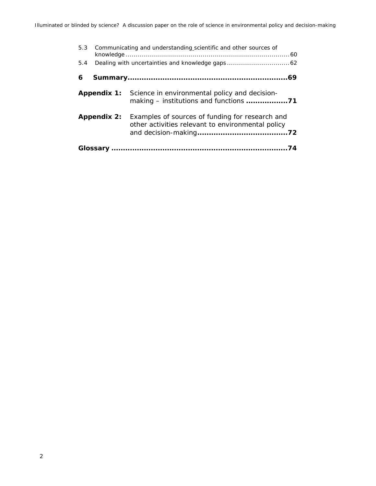| 5.3 | Communicating and understanding_scientific and other sources of |                                                                                                      |  |  |
|-----|-----------------------------------------------------------------|------------------------------------------------------------------------------------------------------|--|--|
| 5.4 |                                                                 |                                                                                                      |  |  |
| 6   |                                                                 |                                                                                                      |  |  |
|     | <b>Appendix 1:</b>                                              | Science in environmental policy and decision-                                                        |  |  |
|     | <b>Appendix 2:</b>                                              | Examples of sources of funding for research and<br>other activities relevant to environmental policy |  |  |
|     |                                                                 |                                                                                                      |  |  |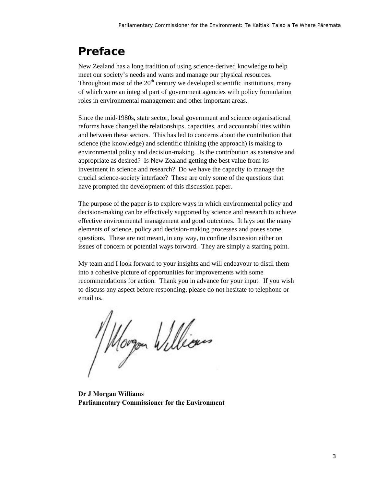# **Preface**

New Zealand has a long tradition of using science-derived knowledge to help meet our society's needs and wants and manage our physical resources. Throughout most of the  $20<sup>th</sup>$  century we developed scientific institutions, many of which were an integral part of government agencies with policy formulation roles in environmental management and other important areas.

Since the mid-1980s, state sector, local government and science organisational reforms have changed the relationships, capacities, and accountabilities within and between these sectors. This has led to concerns about the contribution that science (the knowledge) and scientific thinking (the approach) is making to environmental policy and decision-making. Is the contribution as extensive and appropriate as desired? Is New Zealand getting the best value from its investment in science and research? Do we have the capacity to manage the crucial science-society interface? These are only some of the questions that have prompted the development of this discussion paper.

The purpose of the paper is to explore ways in which environmental policy and decision-making can be effectively supported by science and research to achieve effective environmental management and good outcomes. It lays out the many elements of science, policy and decision-making processes and poses some questions. These are not meant, in any way, to confine discussion either on issues of concern or potential ways forward. They are simply a starting point.

My team and I look forward to your insights and will endeavour to distil them into a cohesive picture of opportunities for improvements with some recommendations for action. Thank you in advance for your input. If you wish to discuss any aspect before responding, please do not hesitate to telephone or email us.

Worgen Williams

**Dr J Morgan Williams Parliamentary Commissioner for the Environment**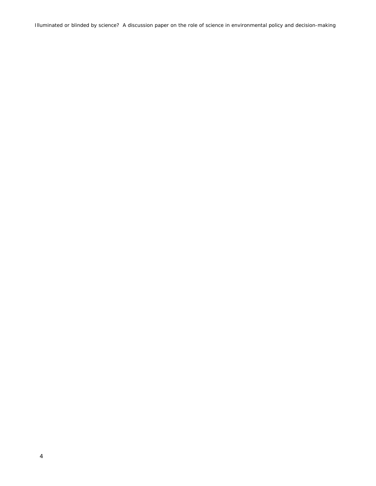Illuminated or blinded by science? A discussion paper on the role of science in environmental policy and decision-making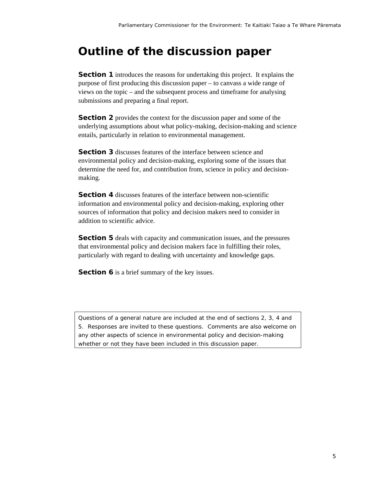# **Outline of the discussion paper**

**Section 1** introduces the reasons for undertaking this project. It explains the purpose of first producing this discussion paper – to canvass a wide range of views on the topic – and the subsequent process and timeframe for analysing submissions and preparing a final report.

**Section 2** provides the context for the discussion paper and some of the underlying assumptions about what policy-making, decision-making and science entails, particularly in relation to environmental management.

**Section 3** discusses features of the interface between science and environmental policy and decision-making, exploring some of the issues that determine the need for, and contribution from, science in policy and decisionmaking.

**Section 4** discusses features of the interface between non-scientific information and environmental policy and decision-making, exploring other sources of information that policy and decision makers need to consider in addition to scientific advice.

**Section 5** deals with capacity and communication issues, and the pressures that environmental policy and decision makers face in fulfilling their roles, particularly with regard to dealing with uncertainty and knowledge gaps.

**Section 6** is a brief summary of the key issues.

Questions of a general nature are included at the end of sections 2, 3, 4 and 5. Responses are invited to these questions. Comments are also welcome on any other aspects of science in environmental policy and decision-making whether or not they have been included in this discussion paper.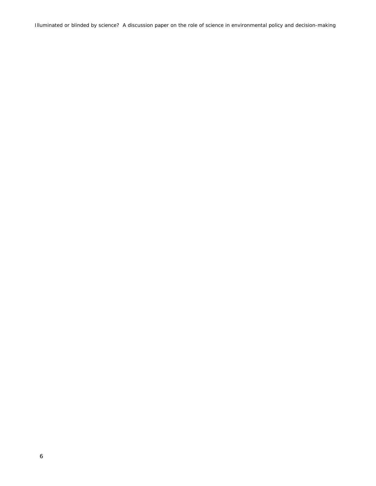Illuminated or blinded by science? A discussion paper on the role of science in environmental policy and decision-making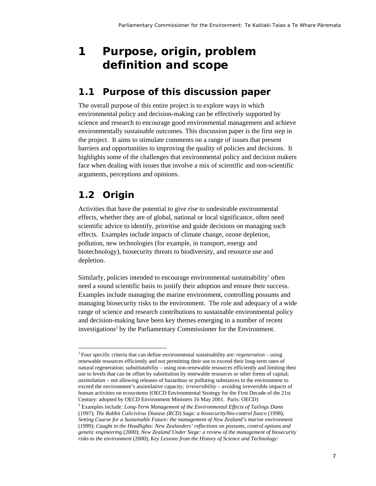# **1 Purpose, origin, problem definition and scope**

## **1.1 Purpose of this discussion paper**

The overall purpose of this entire project is to explore ways in which environmental policy and decision-making can be effectively supported by science and research to encourage good environmental management and achieve environmentally sustainable outcomes. This discussion paper is the first step in the project. It aims to stimulate comments on a range of issues that present barriers and opportunities to improving the quality of policies and decisions. It highlights some of the challenges that environmental policy and decision makers face when dealing with issues that involve a mix of scientific and non-scientific arguments, perceptions and opinions.

# **1.2 Origin**

 $\overline{a}$ 

Activities that have the potential to give rise to undesirable environmental effects, whether they are of global, national or local significance, often need scientific advice to identify, prioritise and guide decisions on managing such effects. Examples include impacts of climate change, ozone depletion, pollution, new technologies (for example, in transport, energy and biotechnology), biosecurity threats to biodiversity, and resource use and depletion.

Similarly, policies intended to encourage environmental sustainability<sup>1</sup> often need a sound scientific basis to justify their adoption and ensure their success. Examples include managing the marine environment, controlling possums and managing biosecurity risks to the environment. The role and adequacy of a wide range of science and research contributions to sustainable environmental policy and decision-making have been key themes emerging in a number of recent investigations<sup>2</sup> by the Parliamentary Commissioner for the Environment.

<sup>1</sup> Four specific criteria that can define environmental sustainability are: *regeneration* – using renewable resources efficiently and not permitting their use to exceed their long-term rates of natural regeneration; *substitutability* – using non-renewable resources efficiently and limiting their use to levels that can be offset by substitution by renewable resources or other forms of capital; *assimilation* – not allowing releases of hazardous or polluting substances to the environment to exceed the environment's assimilative capacity*; irreversibility* – avoiding irreversible impacts of human activities on ecosystems (OECD Environmental Strategy for the First Decade of the 21st Century: adopted by OECD Environment Ministers 16 May 2001. Paris: OECD) 2

Examples include*: Long-Term Management of the Environmental Effects of Tailings Dams* (1997); *The Rabbit Calicivirus Disease (RCD) Saga: a biosecurity/bio-control fiasco* (1998); *Setting Course for a Sustainable Future: the management of New Zealand's marine environment* (1999); *Caught in the Headlights: New Zealanders' reflections on possums, control options and genetic engineering* (2000); *New Zealand Under Siege: a review of the management of biosecurity risks to the environment* (2000); *Key Lessons from the History of Science and Technology:*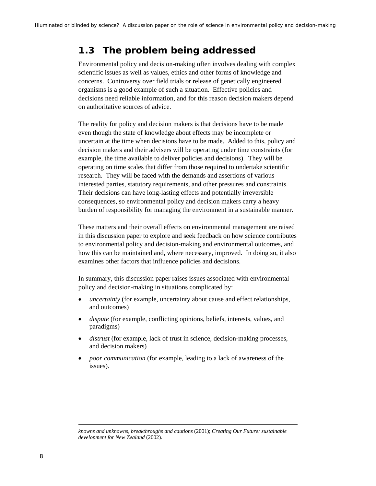## **1.3 The problem being addressed**

Environmental policy and decision-making often involves dealing with complex scientific issues as well as values, ethics and other forms of knowledge and concerns. Controversy over field trials or release of genetically engineered organisms is a good example of such a situation. Effective policies and decisions need reliable information, and for this reason decision makers depend on authoritative sources of advice.

The reality for policy and decision makers is that decisions have to be made even though the state of knowledge about effects may be incomplete or uncertain at the time when decisions have to be made. Added to this, policy and decision makers and their advisers will be operating under time constraints (for example, the time available to deliver policies and decisions). They will be operating on time scales that differ from those required to undertake scientific research. They will be faced with the demands and assertions of various interested parties, statutory requirements, and other pressures and constraints. Their decisions can have long-lasting effects and potentially irreversible consequences, so environmental policy and decision makers carry a heavy burden of responsibility for managing the environment in a sustainable manner.

These matters and their overall effects on environmental management are raised in this discussion paper to explore and seek feedback on how science contributes to environmental policy and decision-making and environmental outcomes, and how this can be maintained and, where necessary, improved. In doing so, it also examines other factors that influence policies and decisions.

In summary, this discussion paper raises issues associated with environmental policy and decision-making in situations complicated by:

- *uncertainty* (for example, uncertainty about cause and effect relationships, and outcomes)
- *dispute* (for example, conflicting opinions, beliefs, interests, values, and paradigms)
- distrust (for example, lack of trust in science, decision-making processes, and decision makers)
- *poor communication* (for example, leading to a lack of awareness of the issues).

*knowns and unknowns, breakthroughs and cautions* (2001); *Creating Our Future: sustainable development for New Zealand* (2002).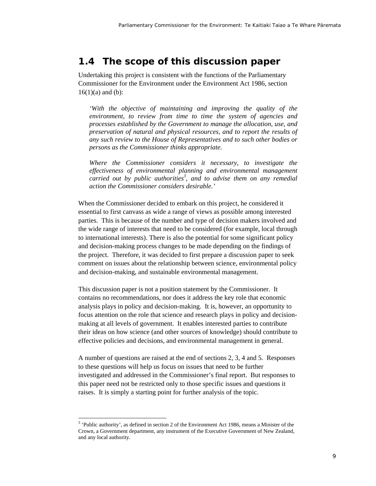### **1.4 The scope of this discussion paper**

Undertaking this project is consistent with the functions of the Parliamentary Commissioner for the Environment under the Environment Act 1986, section  $16(1)(a)$  and (b):

*'With the objective of maintaining and improving the quality of the environment, to review from time to time the system of agencies and processes established by the Government to manage the allocation, use, and preservation of natural and physical resources, and to report the results of any such review to the House of Representatives and to such other bodies or persons as the Commissioner thinks appropriate.* 

*Where the Commissioner considers it necessary, to investigate the effectiveness of environmental planning and environmental management*  carried out by public authorities<sup>3</sup>, and to advise them on any remedial *action the Commissioner considers desirable.'* 

When the Commissioner decided to embark on this project, he considered it essential to first canvass as wide a range of views as possible among interested parties. This is because of the number and type of decision makers involved and the wide range of interests that need to be considered (for example, local through to international interests). There is also the potential for some significant policy and decision-making process changes to be made depending on the findings of the project. Therefore, it was decided to first prepare a discussion paper to seek comment on issues about the relationship between science, environmental policy and decision-making, and sustainable environmental management.

This discussion paper is not a position statement by the Commissioner. It contains no recommendations, nor does it address the key role that economic analysis plays in policy and decision-making. It is, however, an opportunity to focus attention on the role that science and research plays in policy and decisionmaking at all levels of government. It enables interested parties to contribute their ideas on how science (and other sources of knowledge) should contribute to effective policies and decisions, and environmental management in general.

A number of questions are raised at the end of sections 2, 3, 4 and 5. Responses to these questions will help us focus on issues that need to be further investigated and addressed in the Commissioner's final report. But responses to this paper need not be restricted only to those specific issues and questions it raises. It is simply a starting point for further analysis of the topic.

 $3$  'Public authority', as defined in section 2 of the Environment Act 1986, means a Minister of the Crown, a Government department, any instrument of the Executive Government of New Zealand, and any local authority.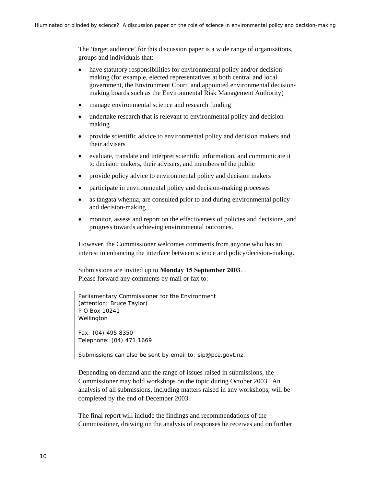The 'target audience' for this discussion paper is a wide range of organisations, groups and individuals that:

- have statutory responsibilities for environmental policy and/or decisionmaking (for example, elected representatives at both central and local government, the Environment Court, and appointed environmental decisionmaking boards such as the Environmental Risk Management Authority)
- manage environmental science and research funding
- undertake research that is relevant to environmental policy and decisionmaking
- provide scientific advice to environmental policy and decision makers and their advisers
- evaluate, translate and interpret scientific information, and communicate it to decision makers, their advisers, and members of the public
- provide policy advice to environmental policy and decision makers
- participate in environmental policy and decision-making processes
- as tangata whenua, are consulted prior to and during environmental policy and decision-making
- monitor, assess and report on the effectiveness of policies and decisions, and progress towards achieving environmental outcomes.

However, the Commissioner welcomes comments from anyone who has an interest in enhancing the interface between science and policy/decision-making.

Submissions are invited up to **Monday 15 September 2003**. Please forward any comments by mail or fax to:

```
Parliamentary Commissioner for the Environment 
(attention: Bruce Taylor) 
P O Box 10241 
Wellington 
Fax: (04) 495 8350 
Telephone: (04) 471 1669
```
Submissions can also be sent by email to: sip@pce.govt.nz.

Depending on demand and the range of issues raised in submissions, the Commissioner may hold workshops on the topic during October 2003. An analysis of all submissions, including matters raised in any workshops, will be completed by the end of December 2003.

The final report will include the findings and recommendations of the Commissioner, drawing on the analysis of responses he receives and on further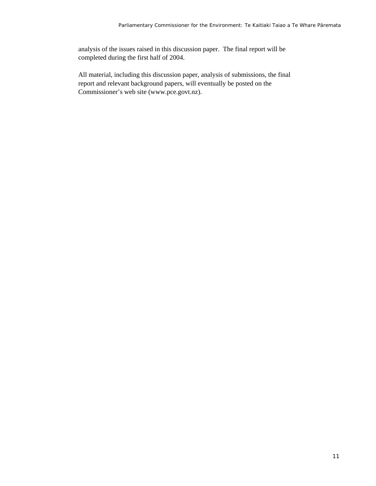analysis of the issues raised in this discussion paper. The final report will be completed during the first half of 2004.

All material, including this discussion paper, analysis of submissions, the final report and relevant background papers, will eventually be posted on the Commissioner's web site (www.pce.govt.nz).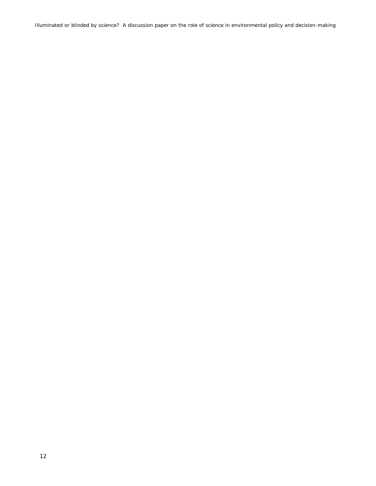Illuminated or blinded by science? A discussion paper on the role of science in environmental policy and decision-making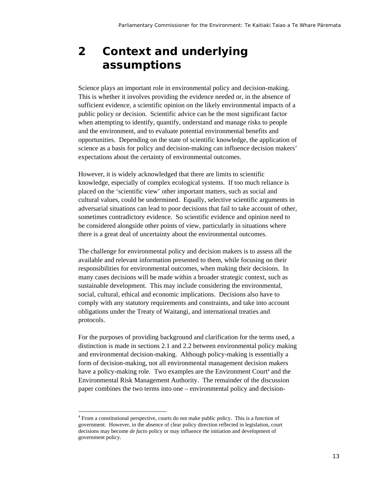# **2 Context and underlying assumptions**

Science plays an important role in environmental policy and decision-making. This is whether it involves providing the evidence needed or, in the absence of sufficient evidence, a scientific opinion on the likely environmental impacts of a public policy or decision. Scientific advice can be the most significant factor when attempting to identify, quantify, understand and manage risks to people and the environment, and to evaluate potential environmental benefits and opportunities. Depending on the state of scientific knowledge, the application of science as a basis for policy and decision-making can influence decision makers' expectations about the certainty of environmental outcomes.

However, it is widely acknowledged that there are limits to scientific knowledge, especially of complex ecological systems. If too much reliance is placed on the 'scientific view' other important matters, such as social and cultural values, could be undermined. Equally, selective scientific arguments in adversarial situations can lead to poor decisions that fail to take account of other, sometimes contradictory evidence. So scientific evidence and opinion need to be considered alongside other points of view, particularly in situations where there is a great deal of uncertainty about the environmental outcomes.

The challenge for environmental policy and decision makers is to assess all the available and relevant information presented to them, while focusing on their responsibilities for environmental outcomes, when making their decisions. In many cases decisions will be made within a broader strategic context, such as sustainable development. This may include considering the environmental, social, cultural, ethical and economic implications. Decisions also have to comply with any statutory requirements and constraints, and take into account obligations under the Treaty of Waitangi, and international treaties and protocols.

For the purposes of providing background and clarification for the terms used, a distinction is made in sections 2.1 and 2.2 between environmental policy making and environmental decision-making. Although policy-making is essentially a form of decision-making, not all environmental management decision makers have a policy-making role. Two examples are the Environment Court<sup>4</sup> and the Environmental Risk Management Authority. The remainder of the discussion paper combines the two terms into one – environmental policy and decision-

<sup>&</sup>lt;sup>4</sup> From a constitutional perspective, courts do not make public policy. This is a function of government. However, in the absence of clear policy direction reflected in legislation, court decisions may become *de facto* policy or may influence the initiation and development of government policy.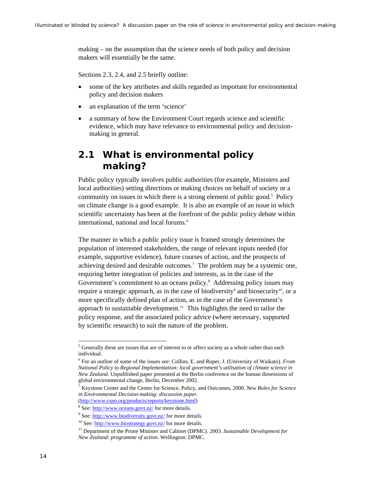making – on the assumption that the science needs of both policy and decision makers will essentially be the same.

Sections 2.3, 2.4, and 2.5 briefly outline:

- some of the key attributes and skills regarded as important for environmental policy and decision makers
- an explanation of the term 'science'
- a summary of how the Environment Court regards science and scientific evidence, which may have relevance to environmental policy and decisionmaking in general.

## **2.1 What is environmental policy making?**

Public policy typically involves public authorities (for example, Ministers and local authorities) setting directions or making choices on behalf of society or a community on issues in which there is a strong element of public good.<sup>5</sup> Policy on climate change is a good example. It is also an example of an issue in which scientific uncertainty has been at the forefront of the public policy debate within international, national and local forums.<sup>6</sup>

The manner in which a public policy issue is framed strongly determines the population of interested stakeholders, the range of relevant inputs needed (for example, supportive evidence), future courses of action, and the prospects of achieving desired and desirable outcomes.<sup>7</sup> The problem may be a systemic one, requiring better integration of policies and interests, as in the case of the Government's commitment to an oceans policy.<sup>8</sup> Addressing policy issues may require a strategic approach, as in the case of biodiversity<sup>9</sup> and biosecurity<sup>10</sup>, or a more specifically defined plan of action, as in the case of the Government's approach to sustainable development.<sup>11</sup> This highlights the need to tailor the policy response, and the associated policy advice (where necessary, supported by scientific research) to suit the nature of the problem.

<sup>&</sup>lt;sup>5</sup> Generally these are issues that are of interest to or affect society as a whole rather than each individual.

<sup>6</sup> For an outline of some of the issues see: Collins, E. and Roper, J. (University of Waikato). *From National Policy to Regional Implementation: local government's utilisation of climate science in New Zealand*. Unpublished paper presented at the Berlin conference on the human dimensions of global environmental change, Berlin, December 2002.

<sup>7</sup> Keystone Center and the Center for Science, Policy, and Outcomes, 2000. *New Roles for Science in Environmental Decision-making: discussion paper*.

<sup>(</sup>http://www.cspo.org/products/reports/keystone.html) 8

<sup>&</sup>lt;sup>8</sup> See:  $\frac{http://www.oceans.gov.nz/}{http://www.oceans.gov.nz/}$  for more details.<br><sup>9</sup> See:  $\frac{http://www.biodiversity.gov.nz/}{http://www.biodiversity.gov.nz/}$  for more details.

<sup>&</sup>lt;sup>10</sup> See: http://www.biostrategy.govt.nz/ for more details. <sup>11</sup> Department of the Prime Minister and Cabinet (DPMC). 2003. *Sustainable Development for New Zealand: programme of action*. Wellington: DPMC.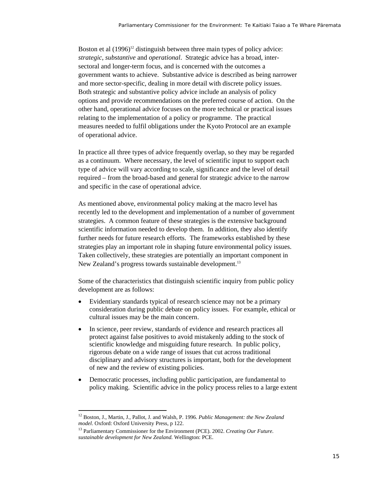Boston et al  $(1996)^{12}$  distinguish between three main types of policy advice: *strategic*, *substantive* and *operational*. Strategic advice has a broad, intersectoral and longer-term focus, and is concerned with the outcomes a government wants to achieve. Substantive advice is described as being narrower and more sector-specific, dealing in more detail with discrete policy issues. Both strategic and substantive policy advice include an analysis of policy options and provide recommendations on the preferred course of action. On the other hand, operational advice focuses on the more technical or practical issues relating to the implementation of a policy or programme. The practical measures needed to fulfil obligations under the Kyoto Protocol are an example of operational advice.

In practice all three types of advice frequently overlap, so they may be regarded as a continuum. Where necessary, the level of scientific input to support each type of advice will vary according to scale, significance and the level of detail required – from the broad-based and general for strategic advice to the narrow and specific in the case of operational advice.

As mentioned above, environmental policy making at the macro level has recently led to the development and implementation of a number of government strategies. A common feature of these strategies is the extensive background scientific information needed to develop them. In addition, they also identify further needs for future research efforts. The frameworks established by these strategies play an important role in shaping future environmental policy issues. Taken collectively, these strategies are potentially an important component in New Zealand's progress towards sustainable development.<sup>13</sup>

Some of the characteristics that distinguish scientific inquiry from public policy development are as follows:

- Evidentiary standards typical of research science may not be a primary consideration during public debate on policy issues. For example, ethical or cultural issues may be the main concern.
- In science, peer review, standards of evidence and research practices all protect against false positives to avoid mistakenly adding to the stock of scientific knowledge and misguiding future research. In public policy, rigorous debate on a wide range of issues that cut across traditional disciplinary and advisory structures is important, both for the development of new and the review of existing policies.
- Democratic processes, including public participation, are fundamental to policy making. Scientific advice in the policy process relies to a large extent

<sup>12</sup> Boston, J., Martin, J., Pallot, J. and Walsh, P. 1996. *Public Management: the New Zealand model*. Oxford: Oxford University Press, p 122.<br><sup>13</sup> Parliamentary Commissioner for the Environment (PCE). 2002. *Creating Our Future*.

*sustainable development for New Zealand.* Wellington: PCE.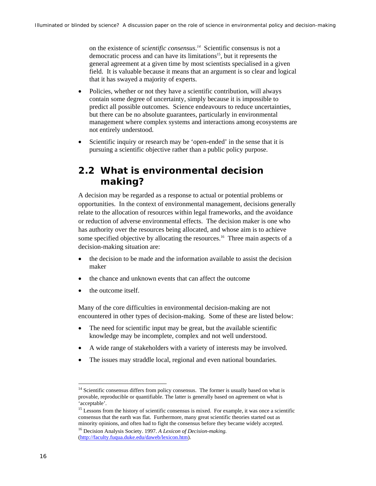on the existence of *scientific consensus*. *<sup>14</sup>* Scientific consensus is not a democratic process and can have its limitations<sup>15</sup>, but it represents the general agreement at a given time by most scientists specialised in a given field. It is valuable because it means that an argument is so clear and logical that it has swayed a majority of experts.

- Policies, whether or not they have a scientific contribution, will always contain some degree of uncertainty, simply because it is impossible to predict all possible outcomes. Science endeavours to reduce uncertainties, but there can be no absolute guarantees, particularly in environmental management where complex systems and interactions among ecosystems are not entirely understood.
- Scientific inquiry or research may be 'open-ended' in the sense that it is pursuing a scientific objective rather than a public policy purpose.

## **2.2 What is environmental decision making?**

A decision may be regarded as a response to actual or potential problems or opportunities. In the context of environmental management, decisions generally relate to the allocation of resources within legal frameworks, and the avoidance or reduction of adverse environmental effects. The decision maker is one who has authority over the resources being allocated, and whose aim is to achieve some specified objective by allocating the resources.<sup>16</sup> Three main aspects of a decision-making situation are:

- the decision to be made and the information available to assist the decision maker
- the chance and unknown events that can affect the outcome
- the outcome itself.

 $\overline{a}$ 

Many of the core difficulties in environmental decision-making are not encountered in other types of decision-making. Some of these are listed below:

- The need for scientific input may be great, but the available scientific knowledge may be incomplete, complex and not well understood.
- A wide range of stakeholders with a variety of interests may be involved.
- The issues may straddle local, regional and even national boundaries.

 $14$  Scientific consensus differs from policy consensus. The former is usually based on what is provable, reproducible or quantifiable. The latter is generally based on agreement on what is 'acceptable'.

<sup>&</sup>lt;sup>15</sup> Lessons from the history of scientific consensus is mixed. For example, it was once a scientific consensus that the earth was flat. Furthermore, many great scientific theories started out as minority opinions, and often had to fight the consensus before they became widely accepted. 16 Decision Analysis Society. 1997. *A Lexicon of Decision-making.*

<sup>(</sup>http://faculty.fuqua.duke.edu/daweb/lexicon.htm).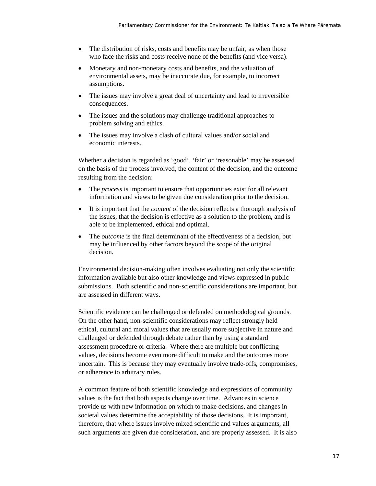- The distribution of risks, costs and benefits may be unfair, as when those who face the risks and costs receive none of the benefits (and vice versa).
- Monetary and non-monetary costs and benefits, and the valuation of environmental assets, may be inaccurate due, for example, to incorrect assumptions.
- The issues may involve a great deal of uncertainty and lead to irreversible consequences.
- The issues and the solutions may challenge traditional approaches to problem solving and ethics.
- The issues may involve a clash of cultural values and/or social and economic interests.

Whether a decision is regarded as 'good', 'fair' or 'reasonable' may be assessed on the basis of the process involved, the content of the decision, and the outcome resulting from the decision:

- The *process* is important to ensure that opportunities exist for all relevant information and views to be given due consideration prior to the decision.
- It is important that the *content* of the decision reflects a thorough analysis of the issues, that the decision is effective as a solution to the problem, and is able to be implemented, ethical and optimal.
- The *outcome* is the final determinant of the effectiveness of a decision, but may be influenced by other factors beyond the scope of the original decision.

Environmental decision-making often involves evaluating not only the scientific information available but also other knowledge and views expressed in public submissions. Both scientific and non-scientific considerations are important, but are assessed in different ways.

Scientific evidence can be challenged or defended on methodological grounds. On the other hand, non-scientific considerations may reflect strongly held ethical, cultural and moral values that are usually more subjective in nature and challenged or defended through debate rather than by using a standard assessment procedure or criteria. Where there are multiple but conflicting values, decisions become even more difficult to make and the outcomes more uncertain. This is because they may eventually involve trade-offs, compromises, or adherence to arbitrary rules.

A common feature of both scientific knowledge and expressions of community values is the fact that both aspects change over time. Advances in science provide us with new information on which to make decisions, and changes in societal values determine the acceptability of those decisions. It is important, therefore, that where issues involve mixed scientific and values arguments, all such arguments are given due consideration, and are properly assessed. It is also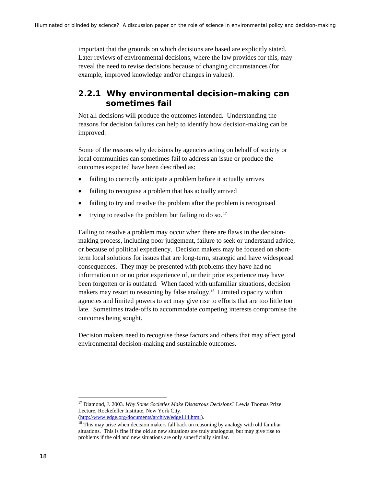important that the grounds on which decisions are based are explicitly stated. Later reviews of environmental decisions, where the law provides for this, may reveal the need to revise decisions because of changing circumstances (for example, improved knowledge and/or changes in values).

### **2.2.1 Why environmental decision-making can sometimes fail**

Not all decisions will produce the outcomes intended. Understanding the reasons for decision failures can help to identify how decision-making can be improved.

Some of the reasons why decisions by agencies acting on behalf of society or local communities can sometimes fail to address an issue or produce the outcomes expected have been described as:

- failing to correctly anticipate a problem before it actually arrives
- failing to recognise a problem that has actually arrived
- failing to try and resolve the problem after the problem is recognised
- trying to resolve the problem but failing to do so.  $17$

Failing to resolve a problem may occur when there are flaws in the decisionmaking process, including poor judgement, failure to seek or understand advice, or because of political expediency. Decision makers may be focused on shortterm local solutions for issues that are long-term, strategic and have widespread consequences. They may be presented with problems they have had no information on or no prior experience of, or their prior experience may have been forgotten or is outdated. When faced with unfamiliar situations, decision makers may resort to reasoning by false analogy.18 Limited capacity within agencies and limited powers to act may give rise to efforts that are too little too late. Sometimes trade-offs to accommodate competing interests compromise the outcomes being sought.

Decision makers need to recognise these factors and others that may affect good environmental decision-making and sustainable outcomes.

<sup>17</sup> Diamond, J. 2003. *Why Some Societies Make Disastrous Decisions?* Lewis Thomas Prize Lecture, Rockefeller Institute, New York City.

<sup>(</sup>http://www.edge.org/documents/archive/edge114.html). 18 This may arise when decision makers fall back on reasoning by analogy with old familiar situations. This is fine if the old an new situations are truly analogous, but may give rise to problems if the old and new situations are only superficially similar.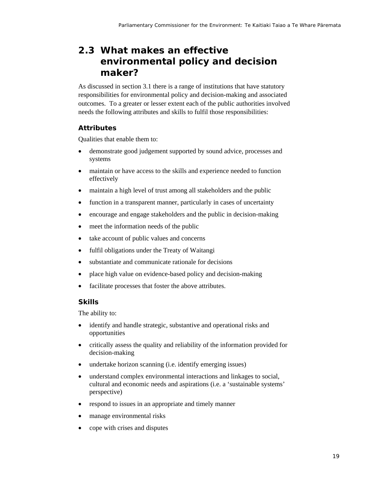## **2.3 What makes an effective environmental policy and decision maker?**

As discussed in section 3.1 there is a range of institutions that have statutory responsibilities for environmental policy and decision-making and associated outcomes. To a greater or lesser extent each of the public authorities involved needs the following attributes and skills to fulfil those responsibilities:

#### *Attributes*

Qualities that enable them to:

- demonstrate good judgement supported by sound advice, processes and systems
- maintain or have access to the skills and experience needed to function effectively
- maintain a high level of trust among all stakeholders and the public
- function in a transparent manner, particularly in cases of uncertainty
- encourage and engage stakeholders and the public in decision-making
- meet the information needs of the public
- take account of public values and concerns
- fulfil obligations under the Treaty of Waitangi
- substantiate and communicate rationale for decisions
- place high value on evidence-based policy and decision-making
- facilitate processes that foster the above attributes.

#### *Skills*

The ability to:

- identify and handle strategic, substantive and operational risks and opportunities
- critically assess the quality and reliability of the information provided for decision-making
- undertake horizon scanning (i.e. identify emerging issues)
- understand complex environmental interactions and linkages to social, cultural and economic needs and aspirations (i.e. a 'sustainable systems' perspective)
- respond to issues in an appropriate and timely manner
- manage environmental risks
- cope with crises and disputes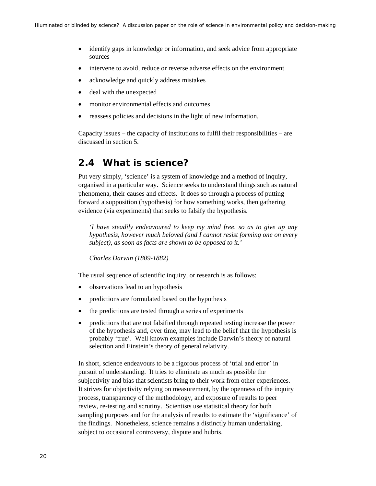- identify gaps in knowledge or information, and seek advice from appropriate sources
- intervene to avoid, reduce or reverse adverse effects on the environment
- acknowledge and quickly address mistakes
- deal with the unexpected
- monitor environmental effects and outcomes
- reassess policies and decisions in the light of new information.

Capacity issues – the capacity of institutions to fulfil their responsibilities – are discussed in section 5.

## **2.4 What is science?**

Put very simply, 'science' is a system of knowledge and a method of inquiry, organised in a particular way. Science seeks to understand things such as natural phenomena, their causes and effects. It does so through a process of putting forward a supposition (hypothesis) for how something works, then gathering evidence (via experiments) that seeks to falsify the hypothesis.

*'I have steadily endeavoured to keep my mind free, so as to give up any hypothesis, however much beloved (and I cannot resist forming one on every subject), as soon as facts are shown to be opposed to it.'* 

*Charles Darwin (1809-1882)* 

The usual sequence of scientific inquiry, or research is as follows:

- observations lead to an hypothesis
- predictions are formulated based on the hypothesis
- the predictions are tested through a series of experiments
- predictions that are not falsified through repeated testing increase the power of the hypothesis and, over time, may lead to the belief that the hypothesis is probably 'true'. Well known examples include Darwin's theory of natural selection and Einstein's theory of general relativity.

In short, science endeavours to be a rigorous process of 'trial and error' in pursuit of understanding. It tries to eliminate as much as possible the subjectivity and bias that scientists bring to their work from other experiences. It strives for objectivity relying on measurement, by the openness of the inquiry process, transparency of the methodology, and exposure of results to peer review, re-testing and scrutiny. Scientists use statistical theory for both sampling purposes and for the analysis of results to estimate the 'significance' of the findings. Nonetheless, science remains a distinctly human undertaking, subject to occasional controversy, dispute and hubris.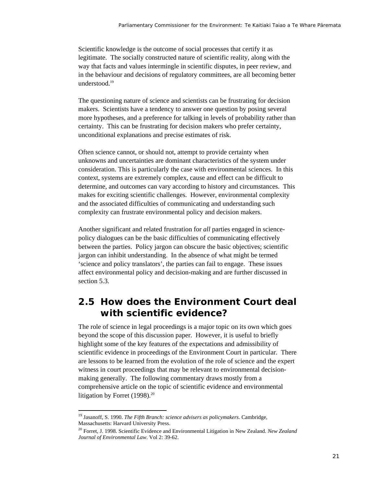Scientific knowledge is the outcome of social processes that certify it as legitimate. The socially constructed nature of scientific reality, along with the way that facts and values intermingle in scientific disputes, in peer review, and in the behaviour and decisions of regulatory committees, are all becoming better understood.19

The questioning nature of science and scientists can be frustrating for decision makers. Scientists have a tendency to answer one question by posing several more hypotheses, and a preference for talking in levels of probability rather than certainty. This can be frustrating for decision makers who prefer certainty, unconditional explanations and precise estimates of risk.

Often science cannot, or should not, attempt to provide certainty when unknowns and uncertainties are dominant characteristics of the system under consideration. This is particularly the case with environmental sciences. In this context, systems are extremely complex, cause and effect can be difficult to determine, and outcomes can vary according to history and circumstances. This makes for exciting scientific challenges. However, environmental complexity and the associated difficulties of communicating and understanding such complexity can frustrate environmental policy and decision makers.

Another significant and related frustration for *all* parties engaged in sciencepolicy dialogues can be the basic difficulties of communicating effectively between the parties. Policy jargon can obscure the basic objectives; scientific jargon can inhibit understanding. In the absence of what might be termed 'science and policy translators', the parties can fail to engage. These issues affect environmental policy and decision-making and are further discussed in section 5.3.

## **2.5 How does the Environment Court deal with scientific evidence?**

The role of science in legal proceedings is a major topic on its own which goes beyond the scope of this discussion paper. However, it is useful to briefly highlight some of the key features of the expectations and admissibility of scientific evidence in proceedings of the Environment Court in particular. There are lessons to be learned from the evolution of the role of science and the expert witness in court proceedings that may be relevant to environmental decisionmaking generally. The following commentary draws mostly from a comprehensive article on the topic of scientific evidence and environmental litigation by Forret  $(1998)^{20}$ 

<sup>19</sup> Jasanoff, S. 1990. *The Fifth Branch: science advisers as policymakers*. Cambridge, Massachusetts: Harvard University Press.

<sup>20</sup> Forret, J. 1998. Scientific Evidence and Environmental Litigation in New Zealand. *New Zealand Journal of Environmental Law*. Vol 2: 39-62.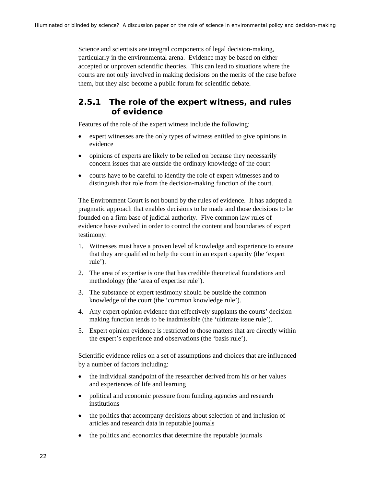Science and scientists are integral components of legal decision-making, particularly in the environmental arena. Evidence may be based on either accepted or unproven scientific theories. This can lead to situations where the courts are not only involved in making decisions on the merits of the case before them, but they also become a public forum for scientific debate.

### **2.5.1 The role of the expert witness, and rules of evidence**

Features of the role of the expert witness include the following:

- expert witnesses are the only types of witness entitled to give opinions in evidence
- opinions of experts are likely to be relied on because they necessarily concern issues that are outside the ordinary knowledge of the court
- courts have to be careful to identify the role of expert witnesses and to distinguish that role from the decision-making function of the court.

The Environment Court is not bound by the rules of evidence. It has adopted a pragmatic approach that enables decisions to be made and those decisions to be founded on a firm base of judicial authority. Five common law rules of evidence have evolved in order to control the content and boundaries of expert testimony:

- 1. Witnesses must have a proven level of knowledge and experience to ensure that they are qualified to help the court in an expert capacity (the 'expert rule').
- 2. The area of expertise is one that has credible theoretical foundations and methodology (the 'area of expertise rule').
- 3. The substance of expert testimony should be outside the common knowledge of the court (the 'common knowledge rule').
- 4. Any expert opinion evidence that effectively supplants the courts' decisionmaking function tends to be inadmissible (the 'ultimate issue rule').
- 5. Expert opinion evidence is restricted to those matters that are directly within the expert's experience and observations (the 'basis rule').

Scientific evidence relies on a set of assumptions and choices that are influenced by a number of factors including:

- the individual standpoint of the researcher derived from his or her values and experiences of life and learning
- political and economic pressure from funding agencies and research institutions
- the politics that accompany decisions about selection of and inclusion of articles and research data in reputable journals
- the politics and economics that determine the reputable journals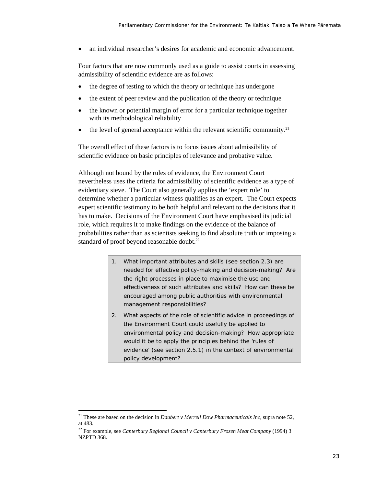• an individual researcher's desires for academic and economic advancement.

Four factors that are now commonly used as a guide to assist courts in assessing admissibility of scientific evidence are as follows:

- the degree of testing to which the theory or technique has undergone
- the extent of peer review and the publication of the theory or technique
- the known or potential margin of error for a particular technique together with its methodological reliability
- the level of general acceptance within the relevant scientific community.<sup>21</sup>

The overall effect of these factors is to focus issues about admissibility of scientific evidence on basic principles of relevance and probative value.

Although not bound by the rules of evidence, the Environment Court nevertheless uses the criteria for admissibility of scientific evidence as a type of evidentiary sieve. The Court also generally applies the 'expert rule' to determine whether a particular witness qualifies as an expert. The Court expects expert scientific testimony to be both helpful and relevant to the decisions that it has to make. Decisions of the Environment Court have emphasised its judicial role, which requires it to make findings on the evidence of the balance of probabilities rather than as scientists seeking to find absolute truth or imposing a standard of proof beyond reasonable doubt.<sup>22</sup>

- 1. What important attributes and skills (see section 2.3) are needed for effective policy-making and decision-making? Are the right processes in place to maximise the use and effectiveness of such attributes and skills? How can these be encouraged among public authorities with environmental management responsibilities?
- 2. What aspects of the role of scientific advice in proceedings of the Environment Court could usefully be applied to environmental policy and decision-making? How appropriate would it be to apply the principles behind the 'rules of evidence' (see section 2.5.1) in the context of environmental policy development?

<sup>21</sup> These are based on the decision in *Daubert v Merrell Dow Pharmaceuticals Inc*, supra note 52, at 483.

<sup>22</sup> For example, see *Canterbury Regional Council v Canterbury Frozen Meat Company* (1994) 3 NZPTD 368.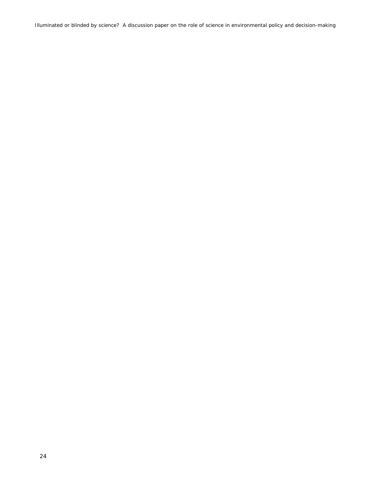Illuminated or blinded by science? A discussion paper on the role of science in environmental policy and decision-making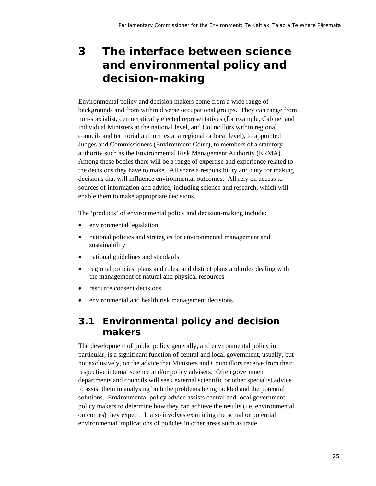# **3 The interface between science and environmental policy and decision-making**

Environmental policy and decision makers come from a wide range of backgrounds and from within diverse occupational groups. They can range from non-specialist, democratically elected representatives (for example, Cabinet and individual Ministers at the national level, and Councillors within regional councils and territorial authorities at a regional or local level), to appointed Judges and Commissioners (Environment Court), to members of a statutory authority such as the Environmental Risk Management Authority (ERMA). Among these bodies there will be a range of expertise and experience related to the decisions they have to make. All share a responsibility and duty for making decisions that will influence environmental outcomes. All rely on access to sources of information and advice, including science and research, which will enable them to make appropriate decisions.

The 'products' of environmental policy and decision-making include:

- environmental legislation
- national policies and strategies for environmental management and sustainability
- national guidelines and standards
- regional policies, plans and rules, and district plans and rules dealing with the management of natural and physical resources
- resource consent decisions
- environmental and health risk management decisions.

## **3.1 Environmental policy and decision makers**

The development of public policy generally, and environmental policy in particular, is a significant function of central and local government, usually, but not exclusively, on the advice that Ministers and Councillors receive from their respective internal science and/or policy advisers. Often government departments and councils will seek external scientific or other specialist advice to assist them in analysing both the problems being tackled and the potential solutions. Environmental policy advice assists central and local government policy makers to determine how they can achieve the results (i.e. environmental outcomes) they expect. It also involves examining the actual or potential environmental implications of policies in other areas such as trade.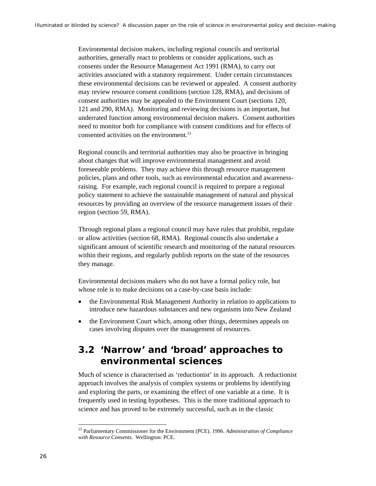Environmental decision makers, including regional councils and territorial authorities, generally react to problems or consider applications, such as consents under the Resource Management Act 1991 (RMA), to carry out activities associated with a statutory requirement. Under certain circumstances these environmental decisions can be reviewed or appealed. A consent authority may review resource consent conditions (section 128, RMA), and decisions of consent authorities may be appealed to the Environment Court (sections 120, 121 and 290, RMA). Monitoring and reviewing decisions is an important, but underrated function among environmental decision makers. Consent authorities need to monitor both for compliance with consent conditions and for effects of consented activities on the environment.<sup>23</sup>

Regional councils and territorial authorities may also be proactive in bringing about changes that will improve environmental management and avoid foreseeable problems. They may achieve this through resource management policies, plans and other tools, such as environmental education and awarenessraising. For example, each regional council is required to prepare a regional policy statement to achieve the sustainable management of natural and physical resources by providing an overview of the resource management issues of their region (section 59, RMA).

Through regional plans a regional council may have rules that prohibit, regulate or allow activities (section 68, RMA). Regional councils also undertake a significant amount of scientific research and monitoring of the natural resources within their regions, and regularly publish reports on the state of the resources they manage.

Environmental decisions makers who do not have a formal policy role, but whose role is to make decisions on a case-by-case basis include:

- the Environmental Risk Management Authority in relation to applications to introduce new hazardous substances and new organisms into New Zealand
- the Environment Court which, among other things, determines appeals on cases involving disputes over the management of resources.

## **3.2 'Narrow' and 'broad' approaches to environmental sciences**

Much of science is characterised as 'reductionist' in its approach. A reductionist approach involves the analysis of complex systems or problems by identifying and exploring the parts, or examining the effect of one variable at a time. It is frequently used in testing hypotheses. This is the more traditional approach to science and has proved to be extremely successful, such as in the classic

<sup>23</sup> Parliamentary Commissioner for the Environment (PCE). 1996. *Administration of Compliance with Resource Consents*. Wellington: PCE.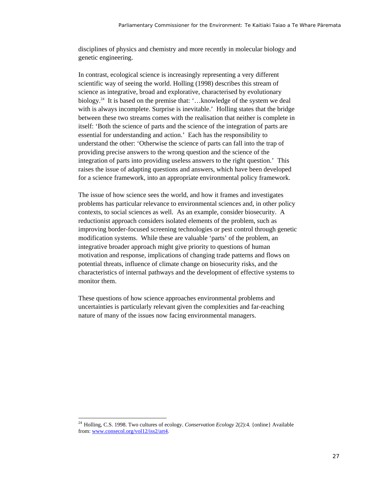disciplines of physics and chemistry and more recently in molecular biology and genetic engineering.

In contrast, ecological science is increasingly representing a very different scientific way of seeing the world. Holling (1998) describes this stream of science as integrative, broad and explorative, characterised by evolutionary biology.<sup>24</sup> It is based on the premise that: '...knowledge of the system we deal with is always incomplete. Surprise is inevitable.' Holling states that the bridge between these two streams comes with the realisation that neither is complete in itself: 'Both the science of parts and the science of the integration of parts are essential for understanding and action.' Each has the responsibility to understand the other: 'Otherwise the science of parts can fall into the trap of providing precise answers to the wrong question and the science of the integration of parts into providing useless answers to the right question.' This raises the issue of adapting questions and answers, which have been developed for a science framework, into an appropriate environmental policy framework.

The issue of how science sees the world, and how it frames and investigates problems has particular relevance to environmental sciences and, in other policy contexts, to social sciences as well. As an example, consider biosecurity. A reductionist approach considers isolated elements of the problem, such as improving border-focused screening technologies or pest control through genetic modification systems. While these are valuable 'parts' of the problem, an integrative broader approach might give priority to questions of human motivation and response, implications of changing trade patterns and flows on potential threats, influence of climate change on biosecurity risks, and the characteristics of internal pathways and the development of effective systems to monitor them.

These questions of how science approaches environmental problems and uncertainties is particularly relevant given the complexities and far-reaching nature of many of the issues now facing environmental managers.

<sup>24</sup> Holling, C.S. 1998. Two cultures of ecology. *Conservation Ecology* 2(2):4. {online} Available from: www.consecol.org/vol12/iss2/art4.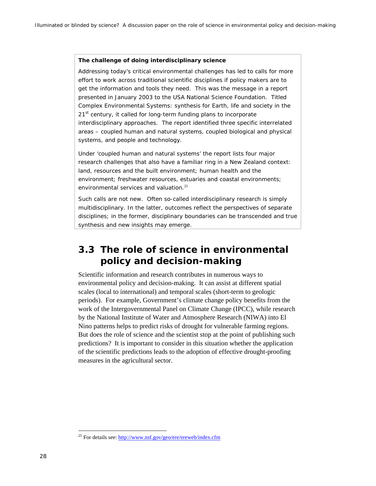#### **The challenge of doing interdisciplinary science**

Addressing today's critical environmental challenges has led to calls for more effort to work across traditional scientific disciplines if policy makers are to get the information and tools they need. This was the message in a report presented in January 2003 to the USA National Science Foundation. Titled *Complex Environmental Systems: synthesis for Earth, life and society in the 21st century*, it called for long-term funding plans to incorporate interdisciplinary approaches. The report identified three specific interrelated areas – coupled human and natural systems, coupled biological and physical systems, and people and technology.

Under 'coupled human and natural systems' the report lists four major research challenges that also have a familiar ring in a New Zealand context: land, resources and the built environment; human health and the environment; freshwater resources, estuaries and coastal environments; environmental services and valuation.<sup>25</sup>

Such calls are not new. Often so-called *interdisciplinary* research is simply *multidisciplinary*. In the latter, outcomes reflect the perspectives of separate disciplines; in the former, disciplinary boundaries can be transcended and true synthesis and new insights may emerge.

## **3.3 The role of science in environmental policy and decision-making**

Scientific information and research contributes in numerous ways to environmental policy and decision-making. It can assist at different spatial scales (local to international) and temporal scales (short-term to geologic periods). For example, Government's climate change policy benefits from the work of the Intergovernmental Panel on Climate Change (IPCC), while research by the National Institute of Water and Atmosphere Research (NIWA) into El Nino patterns helps to predict risks of drought for vulnerable farming regions. But does the role of science and the scientist stop at the point of publishing such predictions? It is important to consider in this situation whether the application of the scientific predictions leads to the adoption of effective drought-proofing measures in the agricultural sector.

<sup>&</sup>lt;sup>25</sup> For details see: http://www.nsf.gov/geo/ere/ereweb/index.cfm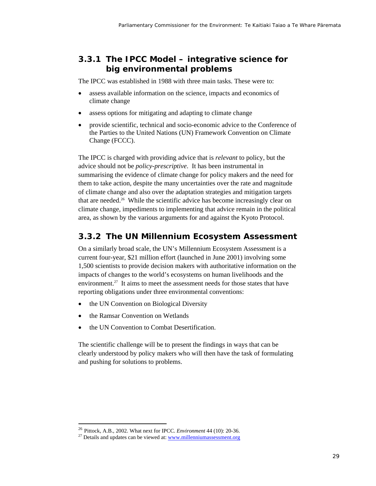### **3.3.1 The IPCC Model – integrative science for big environmental problems**

The IPCC was established in 1988 with three main tasks. These were to:

- assess available information on the science, impacts and economics of climate change
- assess options for mitigating and adapting to climate change
- provide scientific, technical and socio-economic advice to the Conference of the Parties to the United Nations (UN) Framework Convention on Climate Change (FCCC).

The IPCC is charged with providing advice that is *relevant* to policy, but the advice should not be *policy-prescriptive*. It has been instrumental in summarising the evidence of climate change for policy makers and the need for them to take action, despite the many uncertainties over the rate and magnitude of climate change and also over the adaptation strategies and mitigation targets that are needed.26 While the scientific advice has become increasingly clear on climate change, impediments to implementing that advice remain in the political area, as shown by the various arguments for and against the Kyoto Protocol.

### **3.3.2 The UN Millennium Ecosystem Assessment**

On a similarly broad scale, the UN's Millennium Ecosystem Assessment is a current four-year, \$21 million effort (launched in June 2001) involving some 1,500 scientists to provide decision makers with authoritative information on the impacts of changes to the world's ecosystems on human livelihoods and the environment.<sup>27</sup> It aims to meet the assessment needs for those states that have reporting obligations under three environmental conventions:

- the UN Convention on Biological Diversity
- the Ramsar Convention on Wetlands
- the UN Convention to Combat Desertification.

The scientific challenge will be to present the findings in ways that can be clearly understood by policy makers who will then have the task of formulating and pushing for solutions to problems.

 $26$  Pittock, A.B., 2002. What next for IPCC. *Environment* 44 (10): 20-36.

<sup>&</sup>lt;sup>27</sup> Details and updates can be viewed at: www.millenniumassessment.org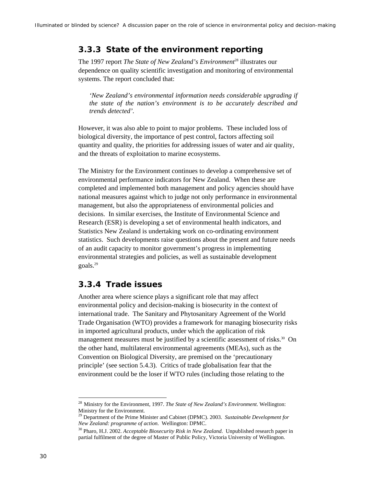#### **3.3.3 State of the environment reporting**

The 1997 report *The State of New Zealand's Environment*28 illustrates our dependence on quality scientific investigation and monitoring of environmental systems. The report concluded that:

*'New Zealand's environmental information needs considerable upgrading if the state of the nation's environment is to be accurately described and trends detected'.* 

However, it was also able to point to major problems. These included loss of biological diversity, the importance of pest control, factors affecting soil quantity and quality, the priorities for addressing issues of water and air quality, and the threats of exploitation to marine ecosystems.

The Ministry for the Environment continues to develop a comprehensive set of environmental performance indicators for New Zealand. When these are completed and implemented both management and policy agencies should have national measures against which to judge not only performance in environmental management, but also the appropriateness of environmental policies and decisions. In similar exercises, the Institute of Environmental Science and Research (ESR) is developing a set of environmental health indicators, and Statistics New Zealand is undertaking work on co-ordinating environment statistics. Such developments raise questions about the present and future needs of an audit capacity to monitor government's progress in implementing environmental strategies and policies, as well as sustainable development goals.29

#### **3.3.4 Trade issues**

Another area where science plays a significant role that may affect environmental policy and decision-making is biosecurity in the context of international trade. The Sanitary and Phytosanitary Agreement of the World Trade Organisation (WTO) provides a framework for managing biosecurity risks in imported agricultural products, under which the application of risk management measures must be justified by a scientific assessment of risks.<sup>30</sup> On the other hand, multilateral environmental agreements (MEAs), such as the Convention on Biological Diversity, are premised on the 'precautionary principle' (see section 5.4.3). Critics of trade globalisation fear that the environment could be the loser if WTO rules (including those relating to the

<sup>28</sup> Ministry for the Environment, 1997. *The State of New Zealand's Environment*. Wellington: Ministry for the Environment.

<sup>&</sup>lt;sup>29</sup> Department of the Prime Minister and Cabinet (DPMC). 2003. *Sustainable Development for New Zealand: programme of action*. Wellington: DPMC.

<sup>&</sup>lt;sup>30</sup> Pharo, H.J. 2002. *Acceptable Biosecurity Risk in New Zealand*. Unpublished research paper in partial fulfilment of the degree of Master of Public Policy, Victoria University of Wellington.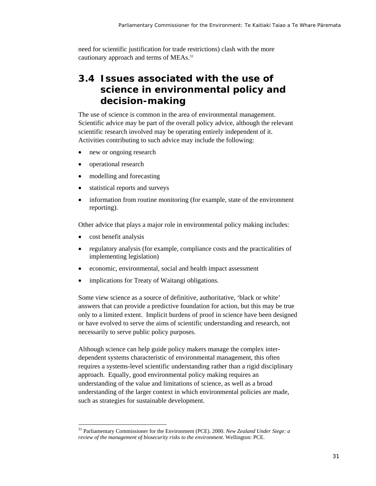need for scientific justification for trade restrictions) clash with the more cautionary approach and terms of MEAs.<sup>31</sup>

## **3.4 Issues associated with the use of science in environmental policy and decision-making**

The use of science is common in the area of environmental management. Scientific advice may be part of the overall policy advice, although the relevant scientific research involved may be operating entirely independent of it. Activities contributing to such advice may include the following:

- new or ongoing research
- operational research
- modelling and forecasting
- statistical reports and surveys
- information from routine monitoring (for example, state of the environment reporting).

Other advice that plays a major role in environmental policy making includes:

- cost benefit analysis
- regulatory analysis (for example, compliance costs and the practicalities of implementing legislation)
- economic, environmental, social and health impact assessment
- implications for Treaty of Waitangi obligations.

Some view science as a source of definitive, authoritative, 'black or white' answers that can provide a predictive foundation for action, but this may be true only to a limited extent. Implicit burdens of proof in science have been designed or have evolved to serve the aims of scientific understanding and research, not necessarily to serve public policy purposes.

Although science can help guide policy makers manage the complex interdependent systems characteristic of environmental management, this often requires a systems-level scientific understanding rather than a rigid disciplinary approach. Equally, good environmental policy making requires an understanding of the value and limitations of science, as well as a broad understanding of the larger context in which environmental policies are made, such as strategies for sustainable development.

 $\overline{a}$ 31 Parliamentary Commissioner for the Environment (PCE). 2000. *New Zealand Under Siege: a review of the management of biosecurity risks to the environment*. Wellington: PCE.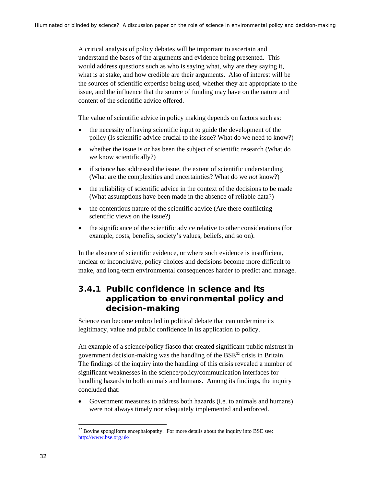A critical analysis of policy debates will be important to ascertain and understand the bases of the arguments and evidence being presented. This would address questions such as who is saying what, why are they saying it, what is at stake, and how credible are their arguments. Also of interest will be the sources of scientific expertise being used, whether they are appropriate to the issue, and the influence that the source of funding may have on the nature and content of the scientific advice offered.

The value of scientific advice in policy making depends on factors such as:

- the necessity of having scientific input to guide the development of the policy (Is scientific advice crucial to the issue? What do we need to know?)
- whether the issue is or has been the subject of scientific research (What do we know scientifically?)
- if science has addressed the issue, the extent of scientific understanding (What are the complexities and uncertainties? What do we *not* know?)
- the reliability of scientific advice in the context of the decisions to be made (What assumptions have been made in the absence of reliable data?)
- the contentious nature of the scientific advice (Are there conflicting scientific views on the issue?)
- the significance of the scientific advice relative to other considerations (for example, costs, benefits, society's values, beliefs, and so on).

In the absence of scientific evidence, or where such evidence is insufficient, unclear or inconclusive, policy choices and decisions become more difficult to make, and long-term environmental consequences harder to predict and manage.

### **3.4.1 Public confidence in science and its application to environmental policy and decision-making**

Science can become embroiled in political debate that can undermine its legitimacy, value and public confidence in its application to policy.

An example of a science/policy fiasco that created significant public mistrust in government decision-making was the handling of the BSE32 crisis in Britain. The findings of the inquiry into the handling of this crisis revealed a number of significant weaknesses in the science/policy/communication interfaces for handling hazards to both animals and humans. Among its findings, the inquiry concluded that:

• Government measures to address both hazards (i.e. to animals and humans) were not always timely nor adequately implemented and enforced.

<sup>&</sup>lt;sup>32</sup> Bovine spongiform encephalopathy. For more details about the inquiry into BSE see: http://www.bse.org.uk/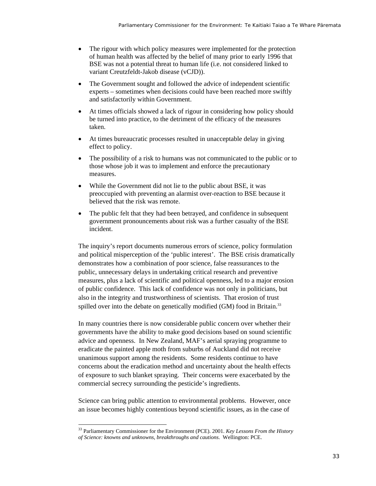- The rigour with which policy measures were implemented for the protection of human health was affected by the belief of many prior to early 1996 that BSE was not a potential threat to human life (i.e. not considered linked to variant Creutzfeldt-Jakob disease (vCJD)).
- The Government sought and followed the advice of independent scientific experts – sometimes when decisions could have been reached more swiftly and satisfactorily within Government.
- At times officials showed a lack of rigour in considering how policy should be turned into practice, to the detriment of the efficacy of the measures taken.
- At times bureaucratic processes resulted in unacceptable delay in giving effect to policy.
- The possibility of a risk to humans was not communicated to the public or to those whose job it was to implement and enforce the precautionary measures.
- While the Government did not lie to the public about BSE, it was preoccupied with preventing an alarmist over-reaction to BSE because it believed that the risk was remote.
- The public felt that they had been betrayed, and confidence in subsequent government pronouncements about risk was a further casualty of the BSE incident.

The inquiry's report documents numerous errors of science, policy formulation and political misperception of the 'public interest'. The BSE crisis dramatically demonstrates how a combination of poor science, false reassurances to the public, unnecessary delays in undertaking critical research and preventive measures, plus a lack of scientific and political openness, led to a major erosion of public confidence. This lack of confidence was not only in politicians, but also in the integrity and trustworthiness of scientists. That erosion of trust spilled over into the debate on genetically modified (GM) food in Britain.<sup>33</sup>

In many countries there is now considerable public concern over whether their governments have the ability to make good decisions based on sound scientific advice and openness. In New Zealand, MAF's aerial spraying programme to eradicate the painted apple moth from suburbs of Auckland did not receive unanimous support among the residents. Some residents continue to have concerns about the eradication method and uncertainty about the health effects of exposure to such blanket spraying. Their concerns were exacerbated by the commercial secrecy surrounding the pesticide's ingredients.

Science can bring public attention to environmental problems. However, once an issue becomes highly contentious beyond scientific issues, as in the case of

<sup>33</sup> Parliamentary Commissioner for the Environment (PCE). 2001. *Key Lessons From the History of Science: knowns and unknowns, breakthroughs and cautions*. Wellington: PCE.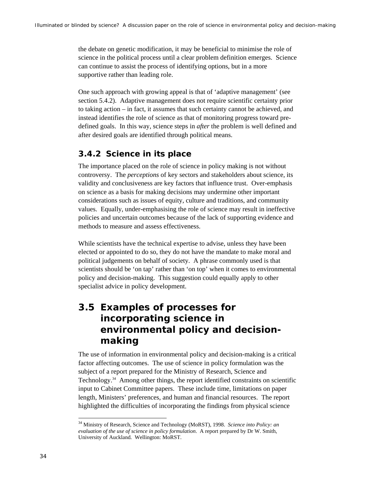the debate on genetic modification, it may be beneficial to minimise the role of science in the political process until a clear problem definition emerges. Science can continue to assist the process of identifying options, but in a more supportive rather than leading role.

One such approach with growing appeal is that of 'adaptive management' (see section 5.4.2). Adaptive management does not require scientific certainty prior to taking action – in fact, it assumes that such certainty cannot be achieved, and instead identifies the role of science as that of monitoring progress toward predefined goals. In this way, science steps in *after* the problem is well defined and after desired goals are identified through political means.

### **3.4.2 Science in its place**

The importance placed on the role of science in policy making is not without controversy. The *perceptions* of key sectors and stakeholders about science, its validity and conclusiveness are key factors that influence trust. Over-emphasis on science as a basis for making decisions may undermine other important considerations such as issues of equity, culture and traditions, and community values. Equally, under-emphasising the role of science may result in ineffective policies and uncertain outcomes because of the lack of supporting evidence and methods to measure and assess effectiveness.

While scientists have the technical expertise to advise, unless they have been elected or appointed to do so, they do not have the mandate to make moral and political judgements on behalf of society. A phrase commonly used is that scientists should be 'on tap' rather than 'on top' when it comes to environmental policy and decision-making. This suggestion could equally apply to other specialist advice in policy development.

## **3.5 Examples of processes for incorporating science in environmental policy and decisionmaking**

The use of information in environmental policy and decision-making is a critical factor affecting outcomes. The use of science in policy formulation was the subject of a report prepared for the Ministry of Research, Science and Technology.34 Among other things, the report identified constraints on scientific input to Cabinet Committee papers. These include time, limitations on paper length, Ministers' preferences, and human and financial resources. The report highlighted the difficulties of incorporating the findings from physical science

<sup>34</sup> Ministry of Research, Science and Technology (MoRST), 1998. *Science into Policy: an evaluation of the use of science in policy formulation*. A report prepared by Dr W. Smith, University of Auckland. Wellington: MoRST.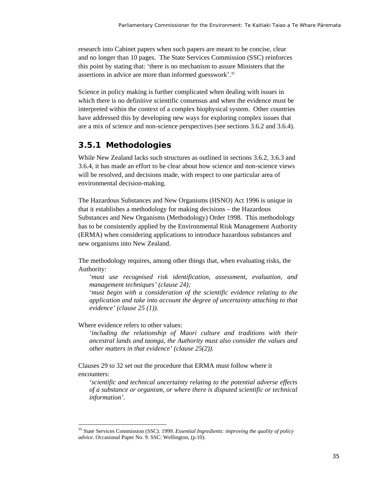research into Cabinet papers when such papers are meant to be concise, clear and no longer than 10 pages. The State Services Commission (SSC) reinforces this point by stating that: 'there is no mechanism to assure Ministers that the assertions in advice are more than informed guesswork'.35

Science in policy making is further complicated when dealing with issues in which there is no definitive scientific consensus and when the evidence must be interpreted within the context of a complex biophysical system. Other countries have addressed this by developing new ways for exploring complex issues that are a mix of science and non-science perspectives (see sections 3.6.2 and 3.6.4).

### **3.5.1 Methodologies**

While New Zealand lacks such structures as outlined in sections 3.6.2, 3.6.3 and 3.6.4, it has made an effort to be clear about how science and non-science views will be resolved, and decisions made, with respect to one particular area of environmental decision-making.

The Hazardous Substances and New Organisms (HSNO) Act 1996 is unique in that it establishes a methodology for making decisions – the Hazardous Substances and New Organisms (Methodology) Order 1998. This methodology has to be consistently applied by the Environmental Risk Management Authority (ERMA) when considering applications to introduce hazardous substances and new organisms into New Zealand.

The methodology requires, among other things that, when evaluating risks, the Authority:

*'must use recognised risk identification, assessment, evaluation, and management techniques' (clause 24);* 

*'must begin with a consideration of the scientific evidence relating to the application and take into account the degree of uncertainty attaching to that evidence' (clause 25 (1)).* 

Where evidence refers to other values:

 $\overline{a}$ 

*'including the relationship of Maori culture and traditions with their ancestral lands and taonga, the Authority must also consider the values and other matters in that evidence' (clause 25(2)).* 

Clauses 29 to 32 set out the procedure that ERMA must follow where it encounters:

*'scientific and technical uncertainty relating to the potential adverse effects of a substance or organism, or where there is disputed scientific or technical information'.* 

<sup>35</sup> State Services Commission (SSC). 1999. *Essential Ingredients: improving the quality of policy advice*. Occasional Paper No. 9. SSC: Wellington, (p.10).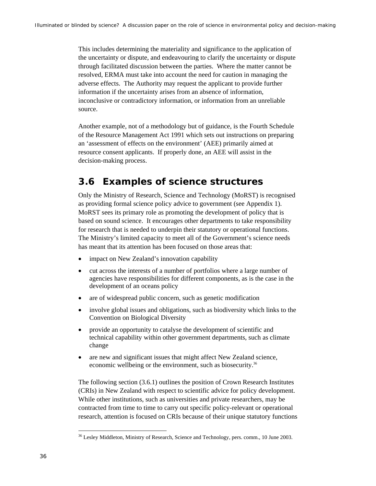This includes determining the materiality and significance to the application of the uncertainty or dispute, and endeavouring to clarify the uncertainty or dispute through facilitated discussion between the parties. Where the matter cannot be resolved, ERMA must take into account the need for caution in managing the adverse effects. The Authority may request the applicant to provide further information if the uncertainty arises from an absence of information, inconclusive or contradictory information, or information from an unreliable source.

Another example, not of a methodology but of guidance, is the Fourth Schedule of the Resource Management Act 1991 which sets out instructions on preparing an 'assessment of effects on the environment' (AEE) primarily aimed at resource consent applicants. If properly done, an AEE will assist in the decision-making process.

# **3.6 Examples of science structures**

Only the Ministry of Research, Science and Technology (MoRST) is recognised as providing formal science policy advice to government (see Appendix 1). MoRST sees its primary role as promoting the development of policy that is based on sound science. It encourages other departments to take responsibility for research that is needed to underpin their statutory or operational functions. The Ministry's limited capacity to meet all of the Government's science needs has meant that its attention has been focused on those areas that:

- impact on New Zealand's innovation capability
- cut across the interests of a number of portfolios where a large number of agencies have responsibilities for different components, as is the case in the development of an oceans policy
- are of widespread public concern, such as genetic modification
- involve global issues and obligations, such as biodiversity which links to the Convention on Biological Diversity
- provide an opportunity to catalyse the development of scientific and technical capability within other government departments, such as climate change
- are new and significant issues that might affect New Zealand science, economic wellbeing or the environment, such as biosecurity.<sup>36</sup>

The following section (3.6.1) outlines the position of Crown Research Institutes (CRIs) in New Zealand with respect to scientific advice for policy development. While other institutions, such as universities and private researchers, may be contracted from time to time to carry out specific policy-relevant or operational research, attention is focused on CRIs because of their unique statutory functions

<sup>&</sup>lt;sup>36</sup> Lesley Middleton, Ministry of Research, Science and Technology, pers. comm., 10 June 2003.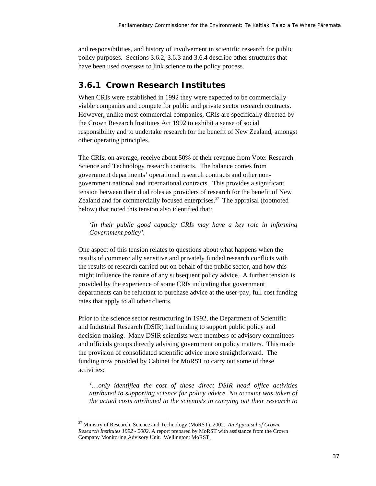and responsibilities, and history of involvement in scientific research for public policy purposes. Sections 3.6.2, 3.6.3 and 3.6.4 describe other structures that have been used overseas to link science to the policy process.

### **3.6.1 Crown Research Institutes**

When CRIs were established in 1992 they were expected to be commercially viable companies and compete for public and private sector research contracts. However, unlike most commercial companies, CRIs are specifically directed by the Crown Research Institutes Act 1992 to exhibit a sense of social responsibility and to undertake research for the benefit of New Zealand, amongst other operating principles.

The CRIs, on average, receive about 50% of their revenue from Vote: Research Science and Technology research contracts. The balance comes from government departments' operational research contracts and other nongovernment national and international contracts. This provides a significant tension between their dual roles as providers of research for the benefit of New Zealand and for commercially focused enterprises. $37$  The appraisal (footnoted below) that noted this tension also identified that:

*'In their public good capacity CRIs may have a key role in informing Government policy'.* 

One aspect of this tension relates to questions about what happens when the results of commercially sensitive and privately funded research conflicts with the results of research carried out on behalf of the public sector, and how this might influence the nature of any subsequent policy advice. A further tension is provided by the experience of some CRIs indicating that government departments can be reluctant to purchase advice at the user-pay, full cost funding rates that apply to all other clients.

Prior to the science sector restructuring in 1992, the Department of Scientific and Industrial Research (DSIR) had funding to support public policy and decision-making. Many DSIR scientists were members of advisory committees and officials groups directly advising government on policy matters. This made the provision of consolidated scientific advice more straightforward. The funding now provided by Cabinet for MoRST to carry out some of these activities:

*'*…*only identified the cost of those direct DSIR head office activities attributed to supporting science for policy advice. No account was taken of the actual costs attributed to the scientists in carrying out their research to* 

<sup>37</sup> Ministry of Research, Science and Technology (MoRST). 2002. *An Appraisal of Crown Research Institutes 1992 - 2002*. A report prepared by MoRST with assistance from the Crown Company Monitoring Advisory Unit. Wellington: MoRST.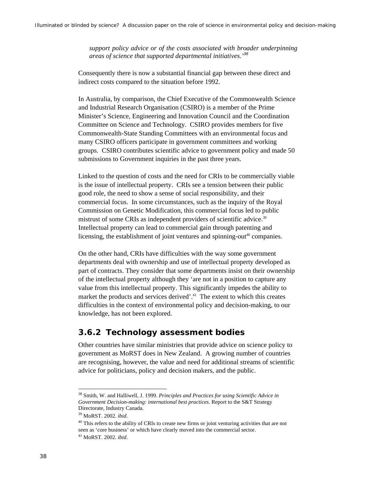*support policy advice or of the costs associated with broader underpinning areas of science that supported departmental initiatives*.*' 38* 

Consequently there is now a substantial financial gap between these direct and indirect costs compared to the situation before 1992.

In Australia, by comparison, the Chief Executive of the Commonwealth Science and Industrial Research Organisation (CSIRO) is a member of the Prime Minister's Science, Engineering and Innovation Council and the Coordination Committee on Science and Technology. CSIRO provides members for five Commonwealth-State Standing Committees with an environmental focus and many CSIRO officers participate in government committees and working groups. CSIRO contributes scientific advice to government policy and made 50 submissions to Government inquiries in the past three years.

Linked to the question of costs and the need for CRIs to be commercially viable is the issue of intellectual property. CRIs see a tension between their public good role, the need to show a sense of social responsibility, and their commercial focus. In some circumstances, such as the inquiry of the Royal Commission on Genetic Modification, this commercial focus led to public mistrust of some CRIs as independent providers of scientific advice.<sup>39</sup> Intellectual property can lead to commercial gain through patenting and licensing, the establishment of joint ventures and spinning-out<sup>40</sup> companies.

On the other hand, CRIs have difficulties with the way some government departments deal with ownership and use of intellectual property developed as part of contracts. They consider that some departments insist on their ownership of the intellectual property although they 'are not in a position to capture any value from this intellectual property. This significantly impedes the ability to market the products and services derived'.<sup>41</sup> The extent to which this creates difficulties in the context of environmental policy and decision-making, to our knowledge, has not been explored.

#### **3.6.2 Technology assessment bodies**

Other countries have similar ministries that provide advice on science policy to government as MoRST does in New Zealand. A growing number of countries are recognising, however, the value and need for additional streams of scientific advice for politicians, policy and decision makers, and the public.

<sup>38</sup> Smith, W. and Halliwell, J. 1999. *Principles and Practices for using Scientific Advice in Government Decision-making: international best practices*. Report to the S&T Strategy Directorate, Industry Canada.

<sup>&</sup>lt;sup>39</sup> MoRST. 2002. *ibid*.<br><sup>40</sup> This refers to the ability of CRIs to create new firms or joint venturing activities that are not seen as 'core business' or which have clearly moved into the commercial sector. 41 MoRST. 2002. *ibid*.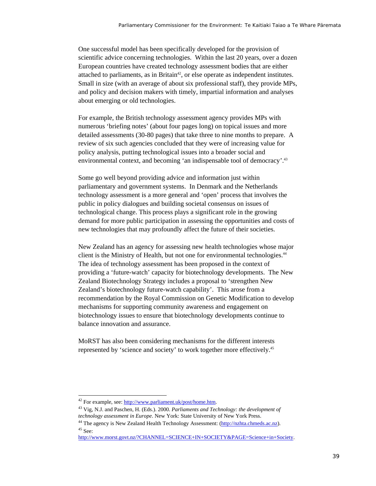One successful model has been specifically developed for the provision of scientific advice concerning technologies. Within the last 20 years, over a dozen European countries have created technology assessment bodies that are either attached to parliaments, as in Britain<sup>42</sup>, or else operate as independent institutes. Small in size (with an average of about six professional staff), they provide MPs, and policy and decision makers with timely, impartial information and analyses about emerging or old technologies.

For example, the British technology assessment agency provides MPs with numerous 'briefing notes' (about four pages long) on topical issues and more detailed assessments (30-80 pages) that take three to nine months to prepare. A review of six such agencies concluded that they were of increasing value for policy analysis, putting technological issues into a broader social and environmental context, and becoming 'an indispensable tool of democracy'.<sup>43</sup>

Some go well beyond providing advice and information just within parliamentary and government systems. In Denmark and the Netherlands technology assessment is a more general and 'open' process that involves the public in policy dialogues and building societal consensus on issues of technological change. This process plays a significant role in the growing demand for more public participation in assessing the opportunities and costs of new technologies that may profoundly affect the future of their societies.

New Zealand has an agency for assessing new health technologies whose major client is the Ministry of Health, but not one for environmental technologies.<sup>44</sup> The idea of technology assessment has been proposed in the context of providing a 'future-watch' capacity for biotechnology developments. The New Zealand Biotechnology Strategy includes a proposal to 'strengthen New Zealand's biotechnology future-watch capability'. This arose from a recommendation by the Royal Commission on Genetic Modification to develop mechanisms for supporting community awareness and engagement on biotechnology issues to ensure that biotechnology developments continue to balance innovation and assurance.

MoRST has also been considering mechanisms for the different interests represented by 'science and society' to work together more effectively.45

 $42$  For example, see: http://www.parliament.uk/post/home.htm.

<sup>&</sup>lt;sup>43</sup> Vig, N.J. and Paschen, H. (Eds.). 2000. *Parliaments and Technology: the development of* 

*technology assessment in Europe*. New York: State University of New York Press.<br><sup>44</sup> The agency is New Zealand Health Technology Assessment: (http://nzhta.chmeds.ac.nz).<br><sup>45</sup> See:

http://www.morst.govt.nz/?CHANNEL=SCIENCE+IN+SOCIETY&PAGE=Science+in+Society.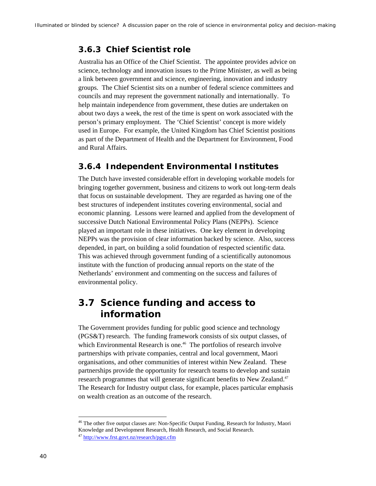### **3.6.3 Chief Scientist role**

Australia has an Office of the Chief Scientist. The appointee provides advice on science, technology and innovation issues to the Prime Minister, as well as being a link between government and science, engineering, innovation and industry groups. The Chief Scientist sits on a number of federal science committees and councils and may represent the government nationally and internationally. To help maintain independence from government, these duties are undertaken on about two days a week, the rest of the time is spent on work associated with the person's primary employment. The 'Chief Scientist' concept is more widely used in Europe. For example, the United Kingdom has Chief Scientist positions as part of the Department of Health and the Department for Environment, Food and Rural Affairs.

#### **3.6.4 Independent Environmental Institutes**

The Dutch have invested considerable effort in developing workable models for bringing together government, business and citizens to work out long-term deals that focus on sustainable development. They are regarded as having one of the best structures of independent institutes covering environmental, social and economic planning. Lessons were learned and applied from the development of successive Dutch National Environmental Policy Plans (NEPPs). Science played an important role in these initiatives. One key element in developing NEPPs was the provision of clear information backed by science. Also, success depended, in part, on building a solid foundation of respected scientific data. This was achieved through government funding of a scientifically autonomous institute with the function of producing annual reports on the state of the Netherlands' environment and commenting on the success and failures of environmental policy.

### **3.7 Science funding and access to information**

The Government provides funding for public good science and technology (PGS&T) research. The funding framework consists of six output classes, of which Environmental Research is one.<sup>46</sup> The portfolios of research involve partnerships with private companies, central and local government, Maori organisations, and other communities of interest within New Zealand. These partnerships provide the opportunity for research teams to develop and sustain research programmes that will generate significant benefits to New Zealand.<sup>47</sup> The Research for Industry output class, for example, places particular emphasis on wealth creation as an outcome of the research.

<sup>&</sup>lt;sup>46</sup> The other five output classes are: Non-Specific Output Funding, Research for Industry, Maori Knowledge and Development Research, Health Research, and Social Research.

<sup>47</sup> http://www.frst.govt.nz/research/pgst.cfm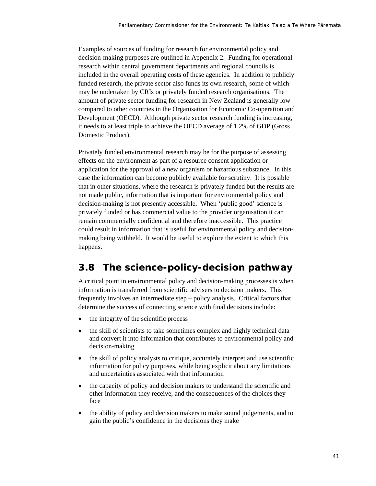Examples of sources of funding for research for environmental policy and decision-making purposes are outlined in Appendix 2. Funding for operational research within central government departments and regional councils is included in the overall operating costs of these agencies. In addition to publicly funded research, the private sector also funds its own research, some of which may be undertaken by CRIs or privately funded research organisations. The amount of private sector funding for research in New Zealand is generally low compared to other countries in the Organisation for Economic Co-operation and Development (OECD). Although private sector research funding is increasing, it needs to at least triple to achieve the OECD average of 1.2% of GDP (Gross Domestic Product).

Privately funded environmental research may be for the purpose of assessing effects on the environment as part of a resource consent application or application for the approval of a new organism or hazardous substance. In this case the information can become publicly available for scrutiny. It is possible that in other situations, where the research is privately funded but the results are not made public, information that is important for environmental policy and decision-making is not presently accessible**.** When 'public good' science is privately funded or has commercial value to the provider organisation it can remain commercially confidential and therefore inaccessible. This practice could result in information that is useful for environmental policy and decisionmaking being withheld. It would be useful to explore the extent to which this happens.

## **3.8 The science-policy-decision pathway**

A critical point in environmental policy and decision-making processes is when information is transferred from scientific advisers to decision makers. This frequently involves an intermediate step – policy analysis. Critical factors that determine the success of connecting science with final decisions include:

- the integrity of the scientific process
- the skill of scientists to take sometimes complex and highly technical data and convert it into information that contributes to environmental policy and decision-making
- the skill of policy analysts to critique, accurately interpret and use scientific information for policy purposes, while being explicit about any limitations and uncertainties associated with that information
- the capacity of policy and decision makers to understand the scientific and other information they receive, and the consequences of the choices they face
- the ability of policy and decision makers to make sound judgements, and to gain the public's confidence in the decisions they make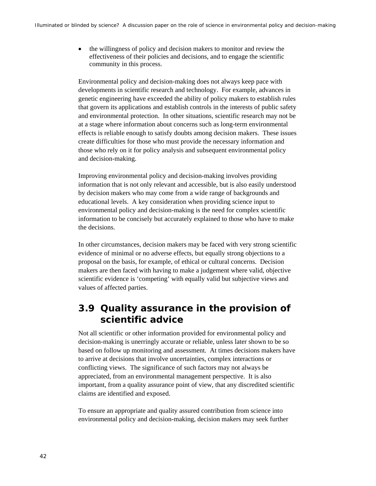• the willingness of policy and decision makers to monitor and review the effectiveness of their policies and decisions, and to engage the scientific community in this process.

Environmental policy and decision-making does not always keep pace with developments in scientific research and technology. For example, advances in genetic engineering have exceeded the ability of policy makers to establish rules that govern its applications and establish controls in the interests of public safety and environmental protection. In other situations, scientific research may not be at a stage where information about concerns such as long-term environmental effects is reliable enough to satisfy doubts among decision makers. These issues create difficulties for those who must provide the necessary information and those who rely on it for policy analysis and subsequent environmental policy and decision-making.

Improving environmental policy and decision-making involves providing information that is not only relevant and accessible, but is also easily understood by decision makers who may come from a wide range of backgrounds and educational levels. A key consideration when providing science input to environmental policy and decision-making is the need for complex scientific information to be concisely but accurately explained to those who have to make the decisions.

In other circumstances, decision makers may be faced with very strong scientific evidence of minimal or no adverse effects, but equally strong objections to a proposal on the basis, for example, of ethical or cultural concerns. Decision makers are then faced with having to make a judgement where valid, objective scientific evidence is 'competing' with equally valid but subjective views and values of affected parties.

## **3.9 Quality assurance in the provision of scientific advice**

Not all scientific or other information provided for environmental policy and decision-making is unerringly accurate or reliable, unless later shown to be so based on follow up monitoring and assessment. At times decisions makers have to arrive at decisions that involve uncertainties, complex interactions or conflicting views. The significance of such factors may not always be appreciated, from an environmental management perspective. It is also important, from a quality assurance point of view, that any discredited scientific claims are identified and exposed.

To ensure an appropriate and quality assured contribution from science into environmental policy and decision-making, decision makers may seek further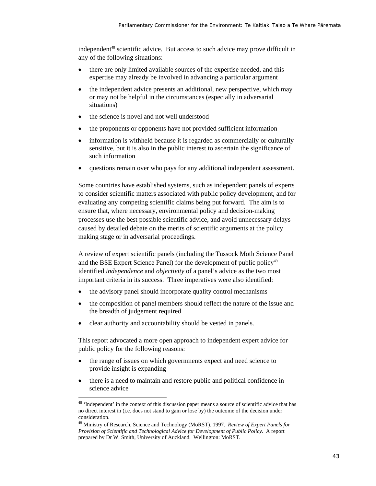independent<sup>48</sup> scientific advice. But access to such advice may prove difficult in any of the following situations:

- there are only limited available sources of the expertise needed, and this expertise may already be involved in advancing a particular argument
- the independent advice presents an additional, new perspective, which may or may not be helpful in the circumstances (especially in adversarial situations)
- the science is novel and not well understood
- the proponents or opponents have not provided sufficient information
- information is withheld because it is regarded as commercially or culturally sensitive, but it is also in the public interest to ascertain the significance of such information
- questions remain over who pays for any additional independent assessment.

Some countries have established systems, such as independent panels of experts to consider scientific matters associated with public policy development, and for evaluating any competing scientific claims being put forward. The aim is to ensure that, where necessary, environmental policy and decision-making processes use the best possible scientific advice, and avoid unnecessary delays caused by detailed debate on the merits of scientific arguments at the policy making stage or in adversarial proceedings.

A review of expert scientific panels (including the Tussock Moth Science Panel and the BSE Expert Science Panel) for the development of public policy<sup>49</sup> identified *independence* and *objectivity* of a panel's advice as the two most important criteria in its success. Three imperatives were also identified:

- the advisory panel should incorporate quality control mechanisms
- the composition of panel members should reflect the nature of the issue and the breadth of judgement required
- clear authority and accountability should be vested in panels.

 $\overline{a}$ 

This report advocated a more open approach to independent expert advice for public policy for the following reasons:

- the range of issues on which governments expect and need science to provide insight is expanding
- there is a need to maintain and restore public and political confidence in science advice

<sup>48 &#</sup>x27;Independent' in the context of this discussion paper means a source of scientific advice that has no direct interest in (i.e. does not stand to gain or lose by) the outcome of the decision under consideration.

<sup>49</sup> Ministry of Research, Science and Technology (MoRST). 1997. *Review of Expert Panels for Provision of Scientific and Technological Advice for Development of Public Policy*. A report prepared by Dr W. Smith, University of Auckland. Wellington: MoRST.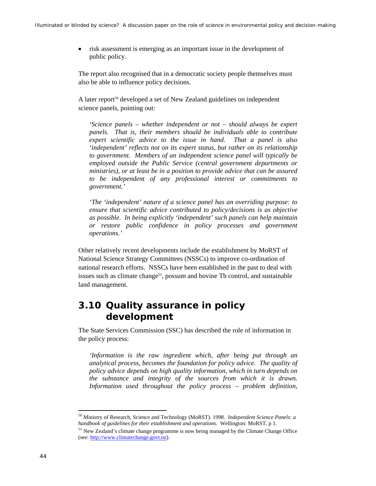• risk assessment is emerging as an important issue in the development of public policy.

The report also recognised that in a democratic society people themselves must also be able to influence policy decisions.

A later report<sup>50</sup> developed a set of New Zealand guidelines on independent science panels, pointing out:

*'Science panels – whether independent or not – should always be expert panels. That is, their members should be individuals able to contribute expert scientific advice to the issue in hand. That a panel is also 'independent' reflects not on its expert status, but rather on its relationship to government. Members of an independent science panel will typically be employed outside the Public Service (central government departments or ministries), or at least be in a position to provide advice that can be assured to be independent of any professional interest or commitments to government.'* 

*'The 'independent' nature of a science panel has an overriding purpose: to ensure that scientific advice contributed to policy/decisions is as objective as possible. In being explicitly 'independent' such panels can help maintain or restore public confidence in policy processes and government operations.'* 

Other relatively recent developments include the establishment by MoRST of National Science Strategy Committees (NSSCs) to improve co-ordination of national research efforts. NSSCs have been established in the past to deal with issues such as climate change<sup>51</sup>, possum and bovine Tb control, and sustainable land management.

## **3.10 Quality assurance in policy development**

The State Services Commission (SSC) has described the role of information in the policy process:

*'Information is the raw ingredient which, after being put through an analytical process, becomes the foundation for policy advice. The quality of policy advice depends on high quality information, which in turn depends on the substance and integrity of the sources from which it is drawn. Information used throughout the policy process – problem definition,* 

<sup>50</sup> Ministry of Research, Science and Technology (MoRST). 1998. *Independent Science Panels: a handbook of guidelines for their establishment and operations*. Wellington: MoRST. p 1.<br><sup>51</sup> New Zealand's climate change programme is now being managed by the Climate Change Office

<sup>(</sup>see: http://www.climatechange.govt.nz).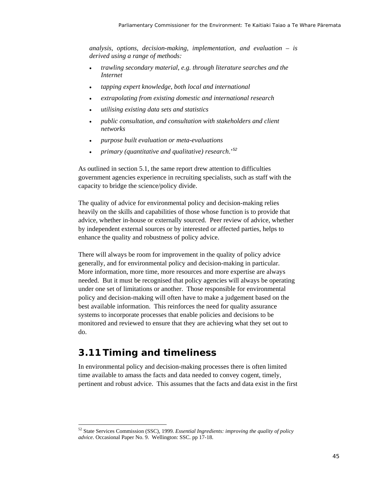*analysis, options, decision-making, implementation, and evaluation – is derived using a range of methods:* 

- *trawling secondary material, e.g. through literature searches and the Internet*
- *tapping expert knowledge, both local and international*
- *extrapolating from existing domestic and international research*
- *utilising existing data sets and statistics*
- *public consultation, and consultation with stakeholders and client networks*
- *purpose built evaluation or meta-evaluations*
- *primary (quantitative and qualitative) research*.'*<sup>52</sup>*

As outlined in section 5.1, the same report drew attention to difficulties government agencies experience in recruiting specialists, such as staff with the capacity to bridge the science/policy divide.

The quality of advice for environmental policy and decision-making relies heavily on the skills and capabilities of those whose function is to provide that advice, whether in-house or externally sourced. Peer review of advice, whether by independent external sources or by interested or affected parties, helps to enhance the quality and robustness of policy advice.

There will always be room for improvement in the quality of policy advice generally, and for environmental policy and decision-making in particular. More information, more time, more resources and more expertise are always needed. But it must be recognised that policy agencies will always be operating under one set of limitations or another. Those responsible for environmental policy and decision-making will often have to make a judgement based on the best available information. This reinforces the need for quality assurance systems to incorporate processes that enable policies and decisions to be monitored and reviewed to ensure that they are achieving what they set out to do.

### **3.11 Timing and timeliness**

 $\overline{a}$ 

In environmental policy and decision-making processes there is often limited time available to amass the facts and data needed to convey cogent, timely, pertinent and robust advice. This assumes that the facts and data exist in the first

<sup>52</sup> State Services Commission (SSC), 1999. *Essential Ingredients: improving the quality of policy advice*. Occasional Paper No. 9. Wellington: SSC. pp 17-18.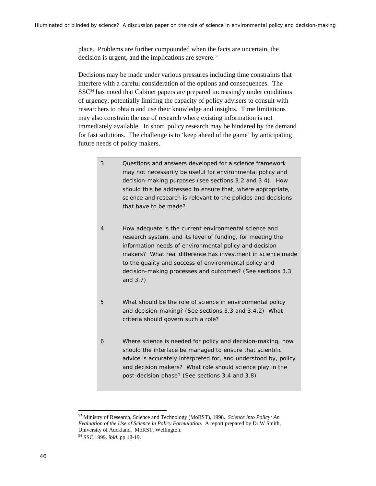place. Problems are further compounded when the facts are uncertain, the decision is urgent, and the implications are severe.<sup>53</sup>

Decisions may be made under various pressures including time constraints that interfere with a careful consideration of the options and consequences. The SSC54 has noted that Cabinet papers are prepared increasingly under conditions of urgency, potentially limiting the capacity of policy advisers to consult with researchers to obtain and use their knowledge and insights. Time limitations may also constrain the use of research where existing information is not immediately available. In short, policy research may be hindered by the demand for fast solutions. The challenge is to 'keep ahead of the game' by anticipating future needs of policy makers.

- 3 Questions and answers developed for a science framework may not necessarily be useful for environmental policy and decision-making purposes (see sections 3.2 and 3.4). How should this be addressed to ensure that, where appropriate, science and research is relevant to the policies and decisions that have to be made?
- 4 How adequate is the current environmental science and research system, and its level of funding, for meeting the information needs of environmental policy and decision makers? What real difference has investment in science made to the quality and success of environmental policy and decision-making processes and outcomes? (See sections 3.3 and 3.7)
- 5 What should be the role of science in environmental policy and decision-making? (See sections 3.3 and 3.4.2) What criteria should govern such a role?
- 6 Where science is needed for policy and decision-making, how should the interface be managed to ensure that scientific advice is accurately interpreted for, and understood by, policy and decision makers? What role should science play in the post-decision phase? (See sections 3.4 and 3.8)

<sup>53</sup> Ministry of Research, Science and Technology (MoRST), 1998. *Science into Policy: An Evaluation of the Use of Science in Policy Formulation*. A report prepared by Dr W Smith, University of Auckland. MoRST, Wellington.

<sup>54</sup> SSC.1999. *ibid*. pp 18-19.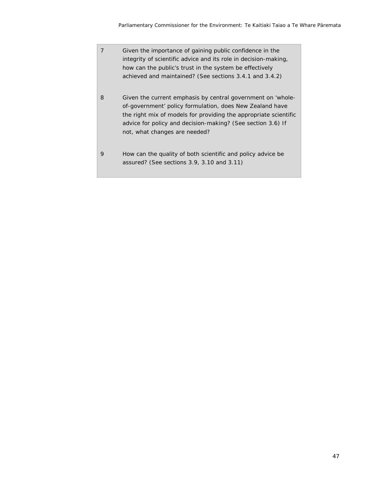- 7 Given the importance of gaining public confidence in the integrity of scientific advice and its role in decision-making, how can the public's trust in the system be effectively achieved and maintained? (See sections 3.4.1 and 3.4.2)
- 8 Given the current emphasis by central government on 'wholeof-government' policy formulation, does New Zealand have the right mix of models for providing the appropriate scientific advice for policy and decision-making? (See section 3.6) If not, what changes are needed?
- 9 How can the quality of both scientific and policy advice be assured? (See sections 3.9, 3.10 and 3.11)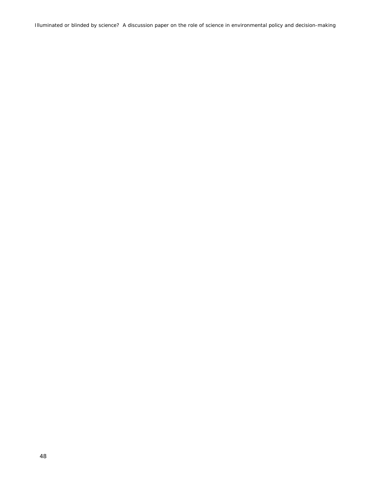Illuminated or blinded by science? A discussion paper on the role of science in environmental policy and decision-making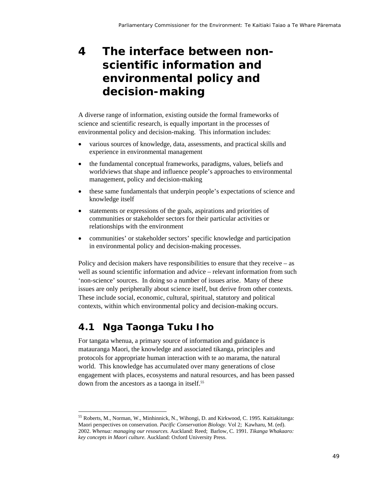# **4 The interface between nonscientific information and environmental policy and decision-making**

A diverse range of information, existing outside the formal frameworks of science and scientific research, is equally important in the processes of environmental policy and decision-making. This information includes:

- various sources of knowledge, data, assessments, and practical skills and experience in environmental management
- the fundamental conceptual frameworks, paradigms, values, beliefs and worldviews that shape and influence people's approaches to environmental management, policy and decision-making
- these same fundamentals that underpin people's expectations of science and knowledge itself
- statements or expressions of the goals, aspirations and priorities of communities or stakeholder sectors for their particular activities or relationships with the environment
- communities' or stakeholder sectors' specific knowledge and participation in environmental policy and decision-making processes.

Policy and decision makers have responsibilities to ensure that they receive – as well as sound scientific information and advice – relevant information from such 'non-science' sources. In doing so a number of issues arise. Many of these issues are only peripherally about science itself, but derive from other contexts. These include social, economic, cultural, spiritual, statutory and political contexts, within which environmental policy and decision-making occurs.

# **4.1 Nga Taonga Tuku Iho**

For tangata whenua, a primary source of information and guidance is matauranga Maori, the knowledge and associated tikanga, principles and protocols for appropriate human interaction with te ao marama, the natural world. This knowledge has accumulated over many generations of close engagement with places, ecosystems and natural resources, and has been passed down from the ancestors as a taonga in itself.55

 $\overline{a}$ 55 Roberts, M., Norman, W., Minhinnick, N., Wihongi, D. and Kirkwood, C. 1995. Kaitiakitanga: Maori perspectives on conservation. *Pacific Conservation Biology.* Vol 2; Kawharu, M. (ed). 2002. *Whenua: managing our resources.* Auckland: Reed; Barlow, C. 1991. *Tikanga Whakaaro: key concepts in Maori culture.* Auckland: Oxford University Press.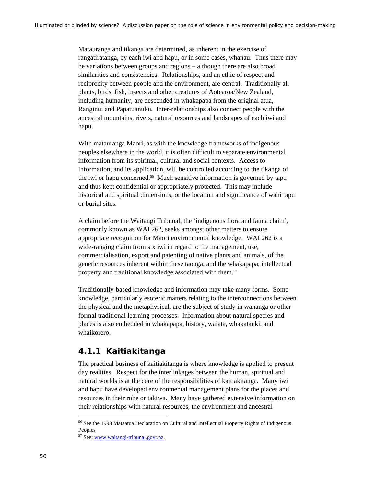Matauranga and tikanga are determined, as inherent in the exercise of rangatiratanga, by each iwi and hapu, or in some cases, whanau. Thus there may be variations between groups and regions – although there are also broad similarities and consistencies. Relationships, and an ethic of respect and reciprocity between people and the environment, are central. Traditionally all plants, birds, fish, insects and other creatures of Aotearoa/New Zealand, including humanity, are descended in whakapapa from the original atua, Ranginui and Papatuanuku. Inter-relationships also connect people with the ancestral mountains, rivers, natural resources and landscapes of each iwi and hapu.

With matauranga Maori, as with the knowledge frameworks of indigenous peoples elsewhere in the world, it is often difficult to separate environmental information from its spiritual, cultural and social contexts. Access to information, and its application, will be controlled according to the tikanga of the iwi or hapu concerned.<sup>56</sup> Much sensitive information is governed by tapu and thus kept confidential or appropriately protected. This may include historical and spiritual dimensions, or the location and significance of wahi tapu or burial sites.

A claim before the Waitangi Tribunal, the 'indigenous flora and fauna claim', commonly known as WAI 262, seeks amongst other matters to ensure appropriate recognition for Maori environmental knowledge. WAI 262 is a wide-ranging claim from six iwi in regard to the management, use, commercialisation, export and patenting of native plants and animals, of the genetic resources inherent within these taonga, and the whakapapa, intellectual property and traditional knowledge associated with them.57

Traditionally-based knowledge and information may take many forms. Some knowledge, particularly esoteric matters relating to the interconnections between the physical and the metaphysical, are the subject of study in wananga or other formal traditional learning processes. Information about natural species and places is also embedded in whakapapa, history, waiata, whakatauki, and whaikorero.

#### **4.1.1 Kaitiakitanga**

The practical business of kaitiakitanga is where knowledge is applied to present day realities. Respect for the interlinkages between the human, spiritual and natural worlds is at the core of the responsibilities of kaitiakitanga. Many iwi and hapu have developed environmental management plans for the places and resources in their rohe or takiwa. Many have gathered extensive information on their relationships with natural resources, the environment and ancestral

<sup>&</sup>lt;sup>56</sup> See the 1993 Mataatua Declaration on Cultural and Intellectual Property Rights of Indigenous Peoples

<sup>57</sup> See: www.waitangi-tribunal.govt.nz.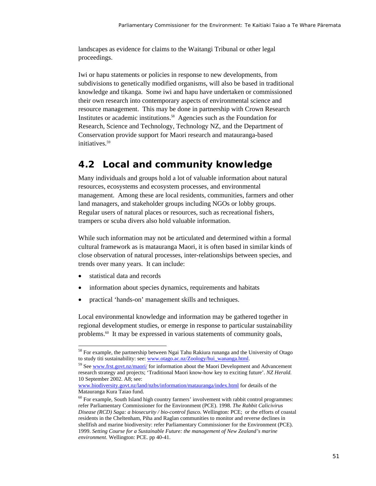landscapes as evidence for claims to the Waitangi Tribunal or other legal proceedings.

Iwi or hapu statements or policies in response to new developments, from subdivisions to genetically modified organisms, will also be based in traditional knowledge and tikanga. Some iwi and hapu have undertaken or commissioned their own research into contemporary aspects of environmental science and resource management. This may be done in partnership with Crown Research Institutes or academic institutions.58 Agencies such as the Foundation for Research, Science and Technology, Technology NZ, and the Department of Conservation provide support for Maori research and matauranga-based initiatives.<sup>59</sup>

# **4.2 Local and community knowledge**

Many individuals and groups hold a lot of valuable information about natural resources, ecosystems and ecosystem processes, and environmental management. Among these are local residents, communities, farmers and other land managers, and stakeholder groups including NGOs or lobby groups. Regular users of natural places or resources, such as recreational fishers, trampers or scuba divers also hold valuable information.

While such information may not be articulated and determined within a formal cultural framework as is matauranga Maori, it is often based in similar kinds of close observation of natural processes, inter-relationships between species, and trends over many years. It can include:

statistical data and records

 $\overline{a}$ 

- information about species dynamics, requirements and habitats
- practical 'hands-on' management skills and techniques.

Local environmental knowledge and information may be gathered together in regional development studies, or emerge in response to particular sustainability problems.60 It may be expressed in various statements of community goals,

<sup>58</sup> For example, the partnership between Ngai Tahu Rakiura runanga and the University of Otago to study titi sustainability: see: www.otago.ac.nz/Zoology/hui\_wananga.html.<br><sup>59</sup> See www.frst.govt.nz/maori/ for information about the Maori Development and Advancement

research strategy and projects; 'Traditional Maori know-how key to exciting future'. *NZ Herald*. 10 September 2002. A8; see:

www.biodiversity.govt.nz/land/nzbs/information/matauranga/index.html for details of the Matauranga Kura Taiao fund.

 $60$  For example, South Island high country farmers' involvement with rabbit control programmes: refer Parliamentary Commissioner for the Environment (PCE). 1998. *The Rabbit Calicivirus Disease (RCD) Saga: a biosecurity / bio-control fiasco*. Wellington: PCE; or the efforts of coastal residents in the Cheltenham, Piha and Raglan communities to monitor and reverse declines in shellfish and marine biodiversity: refer Parliamentary Commissioner for the Environment (PCE). 1999. *Setting Course for a Sustainable Future: the management of New Zealand's marine environment*. Wellington: PCE. pp 40-41.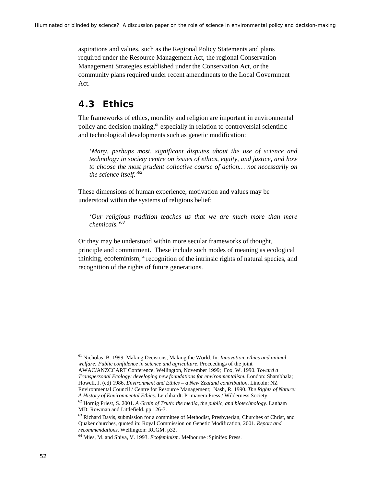aspirations and values, such as the Regional Policy Statements and plans required under the Resource Management Act, the regional Conservation Management Strategies established under the Conservation Act, or the community plans required under recent amendments to the Local Government Act.

# **4.3 Ethics**

The frameworks of ethics, morality and religion are important in environmental policy and decision-making,<sup>61</sup> especially in relation to controversial scientific and technological developments such as genetic modification:

*'Many, perhaps most, significant disputes about the use of science and technology in society centre on issues of ethics, equity, and justice, and how to choose the most prudent collective course of action… not necessarily on the science itself.'<sup>62</sup>*

These dimensions of human experience, motivation and values may be understood within the systems of religious belief:

*'Our religious tradition teaches us that we are much more than mere chemicals.'<sup>63</sup>*

Or they may be understood within more secular frameworks of thought, principle and commitment. These include such modes of meaning as ecological thinking, ecofeminism,<sup>64</sup> recognition of the intrinsic rights of natural species, and recognition of the rights of future generations.

<sup>61</sup> Nicholas, B. 1999. Making Decisions, Making the World. In: *Innovation, ethics and animal welfare: Public confidence in science and agriculture*. Proceedings of the joint

AWAC/ANZCCART Conference, Wellington, November 1999; Fox, W. 1990. *Toward a Transpersonal Ecology: developing new foundations for environmentalism*. London: Shambhala; Howell, J. (ed) 1986. *Environment and Ethics – a New Zealand contribution*. Lincoln: NZ Environmental Council / Centre for Resource Management; Nash, R. 1990. *The Rights of Nature:* 

*A History of Environmental Ethics*. Leichhardt: Primavera Press / Wilderness Society. 62 Hornig Priest, S. 2001. *A Grain of Truth: the media, the public, and biotechnology*. Lanham

MD: Rowman and Littlefield. pp 126-7.<br><sup>63</sup> Richard Davis, submission for a committee of Methodist, Presbyterian, Churches of Christ, and Quaker churches, quoted in: Royal Commission on Genetic Modification, 2001. *Report and recommendations*. Wellington: RCGM. p32. 64 Mies, M. and Shiva, V. 1993. *Ecofeminism.* Melbourne :Spinifex Press.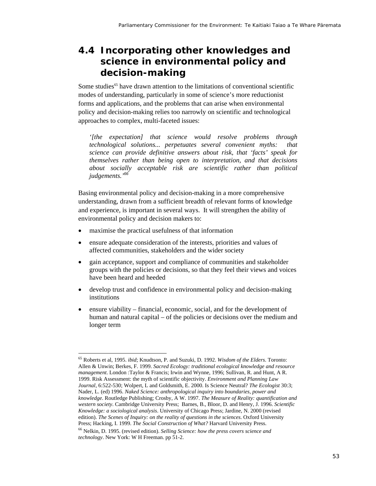# **4.4 Incorporating other knowledges and science in environmental policy and decision-making**

Some studies<sup>65</sup> have drawn attention to the limitations of conventional scientific modes of understanding, particularly in some of science's more reductionist forms and applications, and the problems that can arise when environmental policy and decision-making relies too narrowly on scientific and technological approaches to complex, multi-faceted issues:

*'[the expectation] that science would resolve problems through technological solutions... perpetuates several convenient myths: that science can provide definitive answers about risk, that 'facts' speak for themselves rather than being open to interpretation, and that decisions about socially acceptable risk are scientific rather than political judgements.'<sup>66</sup>*

Basing environmental policy and decision-making in a more comprehensive understanding, drawn from a sufficient breadth of relevant forms of knowledge and experience, is important in several ways. It will strengthen the ability of environmental policy and decision makers to:

- maximise the practical usefulness of that information
- ensure adequate consideration of the interests, priorities and values of affected communities, stakeholders and the wider society
- gain acceptance, support and compliance of communities and stakeholder groups with the policies or decisions, so that they feel their views and voices have been heard and heeded
- develop trust and confidence in environmental policy and decision-making institutions
- ensure viability financial, economic, social, and for the development of human and natural capital – of the policies or decisions over the medium and longer term

 $\overline{a}$ 65 Roberts et al, 1995. *ibid*; Knudtson, P. and Suzuki, D. 1992. *Wisdom of the Elders*. Toronto: Allen & Unwin; Berkes, F. 1999. *Sacred Ecology: traditional ecological knowledge and resource management*. London :Taylor & Francis; Irwin and Wynne, 1996; Sullivan, R. and Hunt, A R. 1999. Risk Assessment: the myth of scientific objectivity. *Environment and Planning Law Journal*, 6:522-530; Wolpert, L and Goldsmith, E. 2000. Is Science Neutral? *The Ecologist* 30:3; Nader, L. (ed) 1996. *Naked Science: anthropological inquiry into boundaries, power and knowledge*. Routledge Publishing; Crosby, A W. 1997. *The Measure of Reality: quantification and western society*. Cambridge University Press; Barnes, B., Bloor, D. and Henry, J. 1996. *Scientific Knowledge: a sociological analysis*. University of Chicago Press; Jardine, N. 2000 (revised edition). *The Scenes of Inquiry: on the reality of questions in the sciences*. Oxford University

Press; Hacking, I. 1999. *The Social Construction of What?* Harvard University Press. 66 Nelkin, D. 1995. (revised edition). *Selling Science: how the press covers science and technology*. New York: W H Freeman. pp 51-2.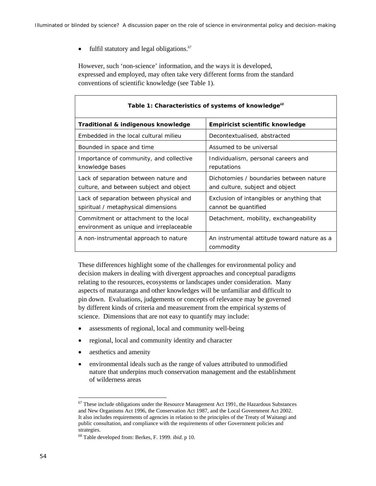• fulfil statutory and legal obligations. $67$ 

However, such 'non-science' information, and the ways it is developed, expressed and employed, may often take very different forms from the standard conventions of scientific knowledge (see Table 1).

| Table 1: Characteristics of systems of knowledge <sup>68</sup>                   |                                                                            |
|----------------------------------------------------------------------------------|----------------------------------------------------------------------------|
| Traditional & indigenous knowledge                                               | Empiricist scientific knowledge                                            |
| Embedded in the local cultural milieu                                            | Decontextualised, abstracted                                               |
| Bounded in space and time                                                        | Assumed to be universal                                                    |
| Importance of community, and collective<br>knowledge bases                       | Individualism, personal careers and<br>reputations                         |
| Lack of separation between nature and<br>culture, and between subject and object | Dichotomies / boundaries between nature<br>and culture, subject and object |
| Lack of separation between physical and<br>spiritual / metaphysical dimensions   | Exclusion of intangibles or anything that<br>cannot be quantified          |
| Commitment or attachment to the local<br>environment as unique and irreplaceable | Detachment, mobility, exchangeability                                      |
| A non-instrumental approach to nature                                            | An instrumental attitude toward nature as a<br>commodity                   |

These differences highlight some of the challenges for environmental policy and decision makers in dealing with divergent approaches and conceptual paradigms relating to the resources, ecosystems or landscapes under consideration. Many aspects of matauranga and other knowledges will be unfamiliar and difficult to pin down. Evaluations, judgements or concepts of relevance may be governed by different kinds of criteria and measurement from the empirical systems of science. Dimensions that are not easy to quantify may include:

- assessments of regional, local and community well-being
- regional, local and community identity and character
- aesthetics and amenity

 $\overline{a}$ 

• environmental ideals such as the range of values attributed to unmodified nature that underpins much conservation management and the establishment of wilderness areas

 $67$  These include obligations under the Resource Management Act 1991, the Hazardous Substances and New Organisms Act 1996, the Conservation Act 1987, and the Local Government Act 2002. It also includes requirements of agencies in relation to the principles of the Treaty of Waitangi and public consultation, and compliance with the requirements of other Government policies and strategies.

<sup>68</sup> Table developed from: Berkes, F. 1999. *ibid*. p 10.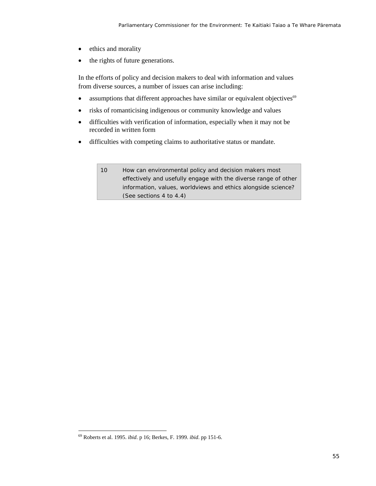- ethics and morality
- the rights of future generations.

In the efforts of policy and decision makers to deal with information and values from diverse sources, a number of issues can arise including:

- assumptions that different approaches have similar or equivalent objectives $69$
- risks of romanticising indigenous or community knowledge and values
- difficulties with verification of information, especially when it may not be recorded in written form
- difficulties with competing claims to authoritative status or mandate.

10 How can environmental policy and decision makers most effectively and usefully engage with the diverse range of other information, values, worldviews and ethics alongside science? (See sections 4 to 4.4)

<sup>69</sup> Roberts et al. 1995. *ibid*. p 16; Berkes, F. 1999. *ibid*. pp 151-6.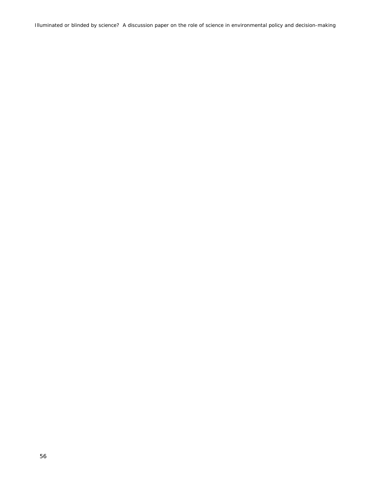Illuminated or blinded by science? A discussion paper on the role of science in environmental policy and decision-making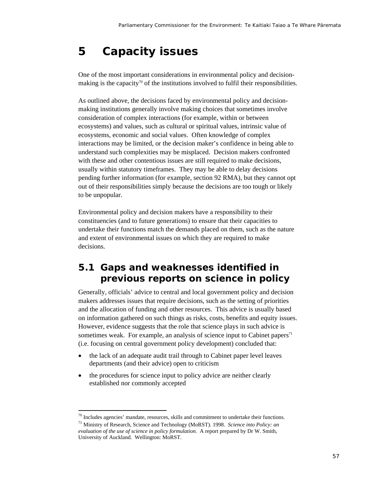# **5 Capacity issues**

One of the most important considerations in environmental policy and decisionmaking is the capacity<sup>70</sup> of the institutions involved to fulfil their responsibilities.

As outlined above, the decisions faced by environmental policy and decisionmaking institutions generally involve making choices that sometimes involve consideration of complex interactions (for example, within or between ecosystems) and values, such as cultural or spiritual values, intrinsic value of ecosystems, economic and social values. Often knowledge of complex interactions may be limited, or the decision maker's confidence in being able to understand such complexities may be misplaced. Decision makers confronted with these and other contentious issues are still required to make decisions, usually within statutory timeframes. They may be able to delay decisions pending further information (for example, section 92 RMA), but they cannot opt out of their responsibilities simply because the decisions are too tough or likely to be unpopular.

Environmental policy and decision makers have a responsibility to their constituencies (and to future generations) to ensure that their capacities to undertake their functions match the demands placed on them, such as the nature and extent of environmental issues on which they are required to make decisions.

# **5.1 Gaps and weaknesses identified in previous reports on science in policy**

Generally, officials' advice to central and local government policy and decision makers addresses issues that require decisions, such as the setting of priorities and the allocation of funding and other resources. This advice is usually based on information gathered on such things as risks, costs, benefits and equity issues. However, evidence suggests that the role that science plays in such advice is sometimes weak. For example, an analysis of science input to Cabinet papers $\gamma$ <sup>1</sup> (i.e. focusing on central government policy development) concluded that:

- the lack of an adequate audit trail through to Cabinet paper level leaves departments (and their advice) open to criticism
- the procedures for science input to policy advice are neither clearly established nor commonly accepted

<sup>70</sup> Includes agencies' mandate, resources, skills and commitment to undertake their functions. 71 Ministry of Research, Science and Technology (MoRST). 1998. *Science into Policy: an* 

*evaluation of the use of science in policy formulation*. A report prepared by Dr W. Smith, University of Auckland. Wellington: MoRST.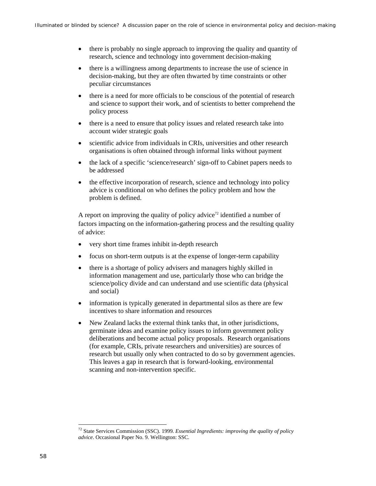- there is probably no single approach to improving the quality and quantity of research, science and technology into government decision-making
- there is a willingness among departments to increase the use of science in decision-making, but they are often thwarted by time constraints or other peculiar circumstances
- there is a need for more officials to be conscious of the potential of research and science to support their work, and of scientists to better comprehend the policy process
- there is a need to ensure that policy issues and related research take into account wider strategic goals
- scientific advice from individuals in CRIs, universities and other research organisations is often obtained through informal links without payment
- the lack of a specific 'science/research' sign-off to Cabinet papers needs to be addressed
- the effective incorporation of research, science and technology into policy advice is conditional on who defines the policy problem and how the problem is defined.

A report on improving the quality of policy advice<sup> $72$ </sup> identified a number of factors impacting on the information-gathering process and the resulting quality of advice:

- very short time frames inhibit in-depth research
- focus on short-term outputs is at the expense of longer-term capability
- there is a shortage of policy advisers and managers highly skilled in information management and use, particularly those who can bridge the science/policy divide and can understand and use scientific data (physical and social)
- information is typically generated in departmental silos as there are few incentives to share information and resources
- New Zealand lacks the external think tanks that, in other jurisdictions, germinate ideas and examine policy issues to inform government policy deliberations and become actual policy proposals. Research organisations (for example, CRIs, private researchers and universities) are sources of research but usually only when contracted to do so by government agencies. This leaves a gap in research that is forward-looking, environmental scanning and non-intervention specific.

<sup>72</sup> State Services Commission (SSC). 1999. *Essential Ingredients: improving the quality of policy advice*. Occasional Paper No. 9. Wellington: SSC.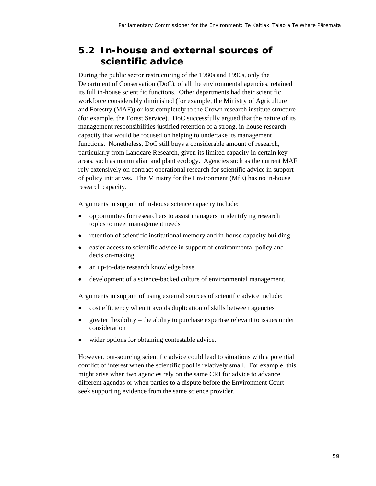# **5.2 In-house and external sources of scientific advice**

During the public sector restructuring of the 1980s and 1990s, only the Department of Conservation (DoC), of all the environmental agencies, retained its full in-house scientific functions. Other departments had their scientific workforce considerably diminished (for example, the Ministry of Agriculture and Forestry (MAF)) or lost completely to the Crown research institute structure (for example, the Forest Service). DoC successfully argued that the nature of its management responsibilities justified retention of a strong, in-house research capacity that would be focused on helping to undertake its management functions. Nonetheless, DoC still buys a considerable amount of research, particularly from Landcare Research, given its limited capacity in certain key areas, such as mammalian and plant ecology. Agencies such as the current MAF rely extensively on contract operational research for scientific advice in support of policy initiatives. The Ministry for the Environment (MfE) has no in-house research capacity.

Arguments in support of in-house science capacity include:

- opportunities for researchers to assist managers in identifying research topics to meet management needs
- retention of scientific institutional memory and in-house capacity building
- easier access to scientific advice in support of environmental policy and decision-making
- an up-to-date research knowledge base
- development of a science-backed culture of environmental management.

Arguments in support of using external sources of scientific advice include:

- cost efficiency when it avoids duplication of skills between agencies
- greater flexibility the ability to purchase expertise relevant to issues under consideration
- wider options for obtaining contestable advice.

However, out-sourcing scientific advice could lead to situations with a potential conflict of interest when the scientific pool is relatively small. For example, this might arise when two agencies rely on the same CRI for advice to advance different agendas or when parties to a dispute before the Environment Court seek supporting evidence from the same science provider.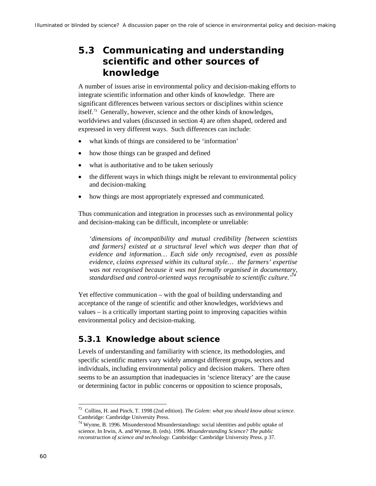# **5.3 Communicating and understanding scientific and other sources of knowledge**

A number of issues arise in environmental policy and decision-making efforts to integrate scientific information and other kinds of knowledge. There are significant differences between various sectors or disciplines within science itself.73 Generally, however, science and the other kinds of knowledges, worldviews and values (discussed in section 4) are often shaped, ordered and expressed in very different ways. Such differences can include:

- what kinds of things are considered to be 'information'
- how those things can be grasped and defined
- what is authoritative and to be taken seriously
- the different ways in which things might be relevant to environmental policy and decision-making
- how things are most appropriately expressed and communicated.

Thus communication and integration in processes such as environmental policy and decision-making can be difficult, incomplete or unreliable:

*'dimensions of incompatibility and mutual credibility [between scientists and farmers] existed at a structural level which was deeper than that of evidence and information… Each side only recognised, even as possible evidence, claims expressed within its cultural style… the farmers' expertise was not recognised because it was not formally organised in documentary, standardised and control-oriented ways recognisable to scientific culture.'<sup>74</sup>*

Yet effective communication – with the goal of building understanding and acceptance of the range of scientific and other knowledges, worldviews and values – is a critically important starting point to improving capacities within environmental policy and decision-making.

#### **5.3.1 Knowledge about science**

Levels of understanding and familiarity with science, its methodologies, and specific scientific matters vary widely amongst different groups, sectors and individuals, including environmental policy and decision makers. There often seems to be an assumption that inadequacies in 'science literacy' are the cause or determining factor in public concerns or opposition to science proposals,

<sup>73</sup> Collins, H. and Pinch, T. 1998 (2nd edition). *The Golem: what you should know about science*. Cambridge: Cambridge University Press.

<sup>74</sup> Wynne, B. 1996. Misunderstood Misunderstandings: social identities and public uptake of science. In Irwin, A. and Wynne, B. (eds). 1996. *Misunderstanding Science? The public reconstruction of science and technology*. Cambridge: Cambridge University Press. p 37.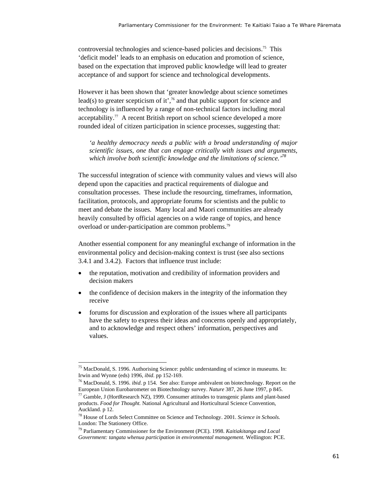controversial technologies and science-based policies and decisions.75 This 'deficit model' leads to an emphasis on education and promotion of science, based on the expectation that improved public knowledge will lead to greater acceptance of and support for science and technological developments.

However it has been shown that 'greater knowledge about science sometimes lead(s) to greater scepticism of it',<sup>76</sup> and that public support for science and technology is influenced by a range of non-technical factors including moral acceptability.<sup>77</sup> A recent British report on school science developed a more rounded ideal of citizen participation in science processes, suggesting that:

*'a healthy democracy needs a public with a broad understanding of major scientific issues, one that can engage critically with issues and arguments, which involve both scientific knowledge and the limitations of science.'<sup>78</sup>*

The successful integration of science with community values and views will also depend upon the capacities and practical requirements of dialogue and consultation processes. These include the resourcing, timeframes, information, facilitation, protocols, and appropriate forums for scientists and the public to meet and debate the issues. Many local and Maori communities are already heavily consulted by official agencies on a wide range of topics, and hence overload or under-participation are common problems.79

Another essential component for any meaningful exchange of information in the environmental policy and decision-making context is trust (see also sections 3.4.1 and 3.4.2). Factors that influence trust include:

- the reputation, motivation and credibility of information providers and decision makers
- the confidence of decision makers in the integrity of the information they receive
- forums for discussion and exploration of the issues where all participants have the safety to express their ideas and concerns openly and appropriately, and to acknowledge and respect others' information, perspectives and values.

 $75$  MacDonald, S. 1996. Authorising Science: public understanding of science in museums. In: Irwin and Wynne (eds) 1996, *ibid*. pp 152-169.<br><sup>76</sup> MacDonald, S. 1996. *ibid.* p 154. See also: Europe ambivalent on biotechnology. Report on the

European Union Eurobarometer on Biotechnology survey. *Nature* 387, 26 June 1997, p 845. 77 Gamble, J (HortResearch NZ), 1999. Consumer attitudes to transgenic plants and plant-based

products. *Food for Thought.* National Agricultural and Horticultural Science Convention, Auckland. p 12.

<sup>78</sup> House of Lords Select Committee on Science and Technology. 2001. *Science in Schools.* London: The Stationery Office.

<sup>79</sup> Parliamentary Commissioner for the Environment (PCE). 1998. *Kaitiakitanga and Local Government: tangata whenua participation in environmental management.* Wellington: PCE.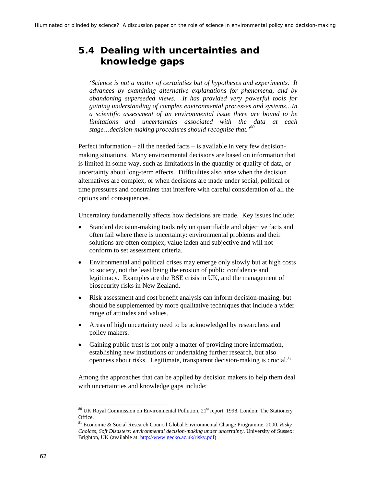# **5.4 Dealing with uncertainties and knowledge gaps**

*'Science is not a matter of certainties but of hypotheses and experiments. It advances by examining alternative explanations for phenomena, and by abandoning superseded views. It has provided very powerful tools for gaining understanding of complex environmental processes and systems…In a scientific assessment of an environmental issue there are bound to be limitations and uncertainties associated with the data at each stage…decision-making procedures should recognise that.'<sup>80</sup>*

Perfect information – all the needed facts – is available in very few decisionmaking situations. Many environmental decisions are based on information that is limited in some way, such as limitations in the quantity or quality of data, or uncertainty about long-term effects. Difficulties also arise when the decision alternatives are complex, or when decisions are made under social, political or time pressures and constraints that interfere with careful consideration of all the options and consequences.

Uncertainty fundamentally affects how decisions are made. Key issues include:

- Standard decision-making tools rely on quantifiable and objective facts and often fail where there is uncertainty: environmental problems and their solutions are often complex, value laden and subjective and will not conform to set assessment criteria.
- Environmental and political crises may emerge only slowly but at high costs to society, not the least being the erosion of public confidence and legitimacy. Examples are the BSE crisis in UK, and the management of biosecurity risks in New Zealand.
- Risk assessment and cost benefit analysis can inform decision-making, but should be supplemented by more qualitative techniques that include a wider range of attitudes and values.
- Areas of high uncertainty need to be acknowledged by researchers and policy makers.
- Gaining public trust is not only a matter of providing more information, establishing new institutions or undertaking further research, but also openness about risks. Legitimate, transparent decision-making is crucial.<sup>81</sup>

Among the approaches that can be applied by decision makers to help them deal with uncertainties and knowledge gaps include:

 $80$  UK Royal Commission on Environmental Pollution,  $21<sup>st</sup>$  report. 1998. London: The Stationery Office.

<sup>81</sup> Economic & Social Research Council Global Environmental Change Programme. 2000. *Risky Choices, Soft Disasters: environmental decision-making under uncertainty*. University of Sussex: Brighton, UK (available at: http://www.gecko.ac.uk/risky.pdf)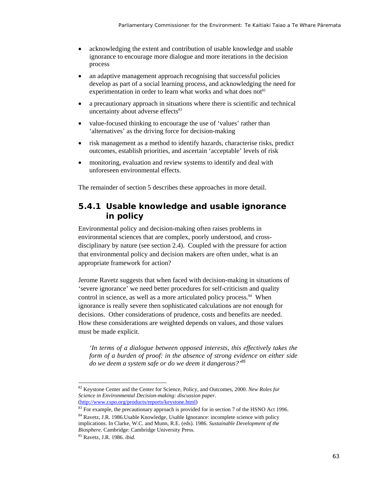- acknowledging the extent and contribution of usable knowledge and usable ignorance to encourage more dialogue and more iterations in the decision process
- an adaptive management approach recognising that successful policies develop as part of a social learning process, and acknowledging the need for experimentation in order to learn what works and what does not  $82$
- a precautionary approach in situations where there is scientific and technical uncertainty about adverse effects<sup>83</sup>
- value-focused thinking to encourage the use of 'values' rather than 'alternatives' as the driving force for decision-making
- risk management as a method to identify hazards, characterise risks, predict outcomes, establish priorities, and ascertain 'acceptable' levels of risk
- monitoring, evaluation and review systems to identify and deal with unforeseen environmental effects.

The remainder of section 5 describes these approaches in more detail.

### **5.4.1 Usable knowledge and usable ignorance in policy**

Environmental policy and decision-making often raises problems in environmental sciences that are complex, poorly understood, and crossdisciplinary by nature (see section 2.4). Coupled with the pressure for action that environmental policy and decision makers are often under, what is an appropriate framework for action?

Jerome Ravetz suggests that when faced with decision-making in situations of 'severe ignorance' we need better procedures for self-criticism and quality control in science, as well as a more articulated policy process.<sup>84</sup> When ignorance is really severe then sophisticated calculations are not enough for decisions. Other considerations of prudence, costs and benefits are needed. How these considerations are weighted depends on values, and those values must be made explicit.

*'In terms of a dialogue between opposed interests, this effectively takes the form of a burden of proof: in the absence of strong evidence on either side do we deem a system safe or do we deem it dangerous?'<sup>85</sup>* 

<sup>82</sup> Keystone Center and the Center for Science, Policy, and Outcomes, 2000. *New Roles for Science in Environmental Decision-making: discussion paper*.

<sup>(</sup>http://www.cspo.org/products/reports/keystone.html)<br><sup>83</sup> For example, the precautionary approach is provided for in section 7 of the HSNO Act 1996.<br><sup>84</sup> Ravetz, J.R. 1986.Usable Knowledge. Usable Ignorance: incomplete sci

implications. In Clarke, W.C. and Munn, R.E. (eds). 1986. *Sustainable Development of the Biosphere*. Cambridge: Cambridge University Press. 85 Ravetz, J.R. 1986. *ibid*.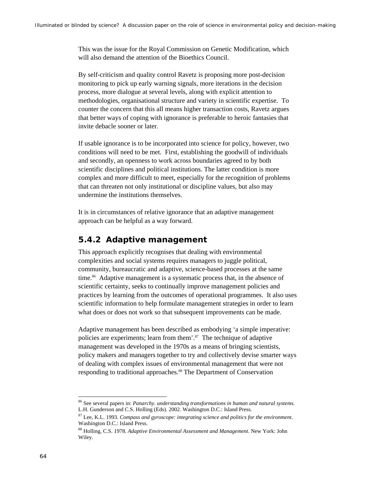This was the issue for the Royal Commission on Genetic Modification, which will also demand the attention of the Bioethics Council.

By self-criticism and quality control Ravetz is proposing more post-decision monitoring to pick up early warning signals, more iterations in the decision process, more dialogue at several levels, along with explicit attention to methodologies, organisational structure and variety in scientific expertise. To counter the concern that this all means higher transaction costs, Ravetz argues that better ways of coping with ignorance is preferable to heroic fantasies that invite debacle sooner or later.

If usable ignorance is to be incorporated into science for policy, however, two conditions will need to be met. First, establishing the goodwill of individuals and secondly, an openness to work across boundaries agreed to by both scientific disciplines and political institutions. The latter condition is more complex and more difficult to meet, especially for the recognition of problems that can threaten not only institutional or discipline values, but also may undermine the institutions themselves.

It is in circumstances of relative ignorance that an adaptive management approach can be helpful as a way forward.

#### **5.4.2 Adaptive management**

This approach explicitly recognises that dealing with environmental complexities and social systems requires managers to juggle political, community, bureaucratic and adaptive, science-based processes at the same time.<sup>86</sup> Adaptive management is a systematic process that, in the absence of scientific certainty, seeks to continually improve management policies and practices by learning from the outcomes of operational programmes. It also uses scientific information to help formulate management strategies in order to learn what does or does not work so that subsequent improvements can be made.

Adaptive management has been described as embodying 'a simple imperative: policies are experiments; learn from them'.87 The technique of adaptive management was developed in the 1970s as a means of bringing scientists, policy makers and managers together to try and collectively devise smarter ways of dealing with complex issues of environmental management that were not responding to traditional approaches.<sup>88</sup> The Department of Conservation

<sup>86</sup> See several papers in: *Panarchy. understanding transformations in human and natural systems*.

L.H. Gunderson and C.S. Holling (Eds). 2002. Washington D.C.: Island Press. 87 Lee, K.L. 1993. *Compass and gyroscope: integrating science and politics for the environment*. Washington D.C.: Island Press.

<sup>88</sup> Holling, C.S. 1978. *Adaptive Environmental Assessment and Management*. New York: John Wiley.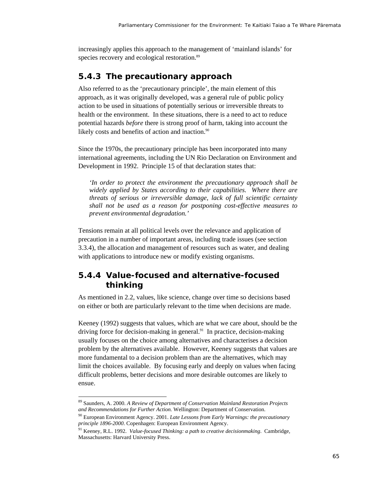increasingly applies this approach to the management of 'mainland islands' for species recovery and ecological restoration.<sup>89</sup>

### **5.4.3 The precautionary approach**

Also referred to as the 'precautionary principle', the main element of this approach, as it was originally developed, was a general rule of public policy action to be used in situations of potentially serious or irreversible threats to health or the environment. In these situations, there is a need to act to reduce potential hazards *before* there is strong proof of harm, taking into account the likely costs and benefits of action and inaction.<sup>90</sup>

Since the 1970s, the precautionary principle has been incorporated into many international agreements, including the UN Rio Declaration on Environment and Development in 1992. Principle 15 of that declaration states that:

*'In order to protect the environment the precautionary approach shall be widely applied by States according to their capabilities. Where there are threats of serious or irreversible damage, lack of full scientific certainty shall not be used as a reason for postponing cost-effective measures to prevent environmental degradation.'* 

Tensions remain at all political levels over the relevance and application of precaution in a number of important areas, including trade issues (see section 3.3.4), the allocation and management of resources such as water, and dealing with applications to introduce new or modify existing organisms.

### **5.4.4 Value-focused and alternative-focused thinking**

As mentioned in 2.2, values, like science, change over time so decisions based on either or both are particularly relevant to the time when decisions are made.

Keeney (1992) suggests that values, which are what we care about, should be the driving force for decision-making in general. $91$  In practice, decision-making usually focuses on the choice among alternatives and characterises a decision problem by the alternatives available. However, Keeney suggests that values are more fundamental to a decision problem than are the alternatives, which may limit the choices available. By focusing early and deeply on values when facing difficult problems, better decisions and more desirable outcomes are likely to ensue.

<sup>89</sup> Saunders, A. 2000. *A Review of Department of Conservation Mainland Restoration Projects and Recommendations for Further Action.* Wellington: Department of Conservation. 90 European Environment Agency. 2001. *Late Lessons from Early Warnings: the precautionary* 

*principle 1896-2000*. Copenhagen: European Environment Agency. 91 Keeney, R.L. 1992. *Value-focused Thinking: a path to creative decisionmaking*. Cambridge,

Massachusetts: Harvard University Press.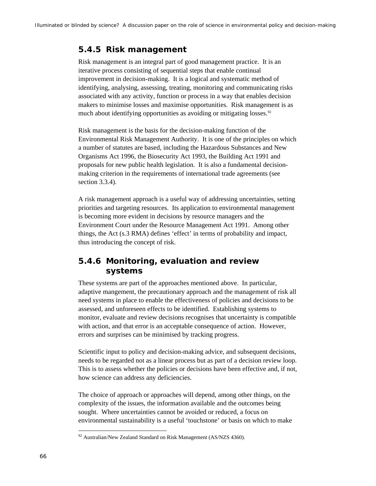### **5.4.5 Risk management**

Risk management is an integral part of good management practice. It is an iterative process consisting of sequential steps that enable continual improvement in decision-making. It is a logical and systematic method of identifying, analysing, assessing, treating, monitoring and communicating risks associated with any activity, function or process in a way that enables decision makers to minimise losses and maximise opportunities. Risk management is as much about identifying opportunities as avoiding or mitigating losses.<sup>92</sup>

Risk management is the basis for the decision-making function of the Environmental Risk Management Authority. It is one of the principles on which a number of statutes are based, including the Hazardous Substances and New Organisms Act 1996, the Biosecurity Act 1993, the Building Act 1991 and proposals for new public health legislation. It is also a fundamental decisionmaking criterion in the requirements of international trade agreements (see section 3.3.4).

A risk management approach is a useful way of addressing uncertainties, setting priorities and targeting resources. Its application to environmental management is becoming more evident in decisions by resource managers and the Environment Court under the Resource Management Act 1991. Among other things, the Act (s.3 RMA) defines 'effect' in terms of probability and impact, thus introducing the concept of risk.

### **5.4.6 Monitoring, evaluation and review systems**

These systems are part of the approaches mentioned above. In particular, adaptive mangement, the precautionary approach and the management of risk all need systems in place to enable the effectiveness of policies and decisions to be assessed, and unforeseen effects to be identified. Establishing systems to monitor, evaluate and review decisions recognises that uncertainty is compatible with action, and that error is an acceptable consequence of action. However, errors and surprises can be minimised by tracking progress.

Scientific input to policy and decision-making advice, and subsequent decisions, needs to be regarded not as a linear process but as part of a decision review loop. This is to assess whether the policies or decisions have been effective and, if not, how science can address any deficiencies.

The choice of approach or approaches will depend, among other things, on the complexity of the issues, the information available and the outcomes being sought. Where uncertainties cannot be avoided or reduced, a focus on environmental sustainability is a useful 'touchstone' or basis on which to make

 $92$  Australian/New Zealand Standard on Risk Management (AS/NZS 4360).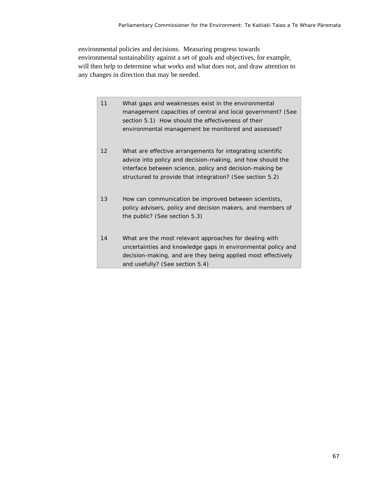environmental policies and decisions. Measuring progress towards environmental sustainability against a set of goals and objectives, for example, will then help to determine what works and what does not, and draw attention to any changes in direction that may be needed.

| 11 | What gaps and weaknesses exist in the environmental<br>management capacities of central and local government? (See<br>section 5.1) How should the effectiveness of their<br>environmental management be monitored and assessed?                   |
|----|---------------------------------------------------------------------------------------------------------------------------------------------------------------------------------------------------------------------------------------------------|
| 12 | What are effective arrangements for integrating scientific<br>advice into policy and decision-making, and how should the<br>interface between science, policy and decision-making be<br>structured to provide that integration? (See section 5.2) |
| 13 | How can communication be improved between scientists,<br>policy advisers, policy and decision makers, and members of<br>the public? (See section 5.3)                                                                                             |
| 14 | What are the most relevant approaches for dealing with<br>uncertainties and knowledge gaps in environmental policy and<br>decision-making, and are they being applied most effectively<br>and usefully? (See section 5.4)                         |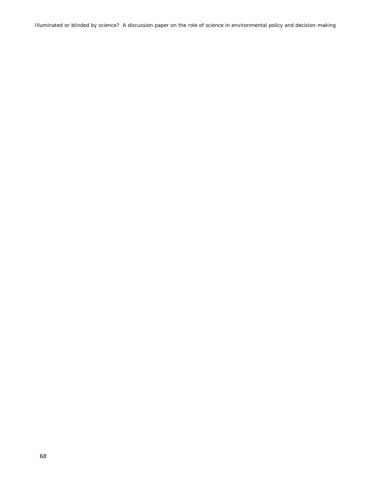Illuminated or blinded by science? A discussion paper on the role of science in environmental policy and decision-making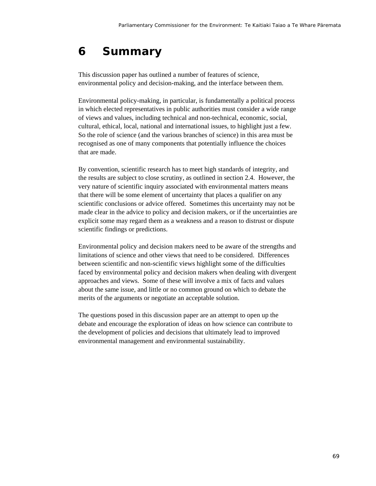# **6 Summary**

This discussion paper has outlined a number of features of science, environmental policy and decision-making, and the interface between them.

Environmental policy-making, in particular, is fundamentally a political process in which elected representatives in public authorities must consider a wide range of views and values, including technical and non-technical, economic, social, cultural, ethical, local, national and international issues, to highlight just a few. So the role of science (and the various branches of science) in this area must be recognised as one of many components that potentially influence the choices that are made.

By convention, scientific research has to meet high standards of integrity, and the results are subject to close scrutiny, as outlined in section 2.4. However, the very nature of scientific inquiry associated with environmental matters means that there will be some element of uncertainty that places a qualifier on any scientific conclusions or advice offered. Sometimes this uncertainty may not be made clear in the advice to policy and decision makers, or if the uncertainties are explicit some may regard them as a weakness and a reason to distrust or dispute scientific findings or predictions.

Environmental policy and decision makers need to be aware of the strengths and limitations of science and other views that need to be considered. Differences between scientific and non-scientific views highlight some of the difficulties faced by environmental policy and decision makers when dealing with divergent approaches and views. Some of these will involve a mix of facts and values about the same issue, and little or no common ground on which to debate the merits of the arguments or negotiate an acceptable solution.

The questions posed in this discussion paper are an attempt to open up the debate and encourage the exploration of ideas on how science can contribute to the development of policies and decisions that ultimately lead to improved environmental management and environmental sustainability.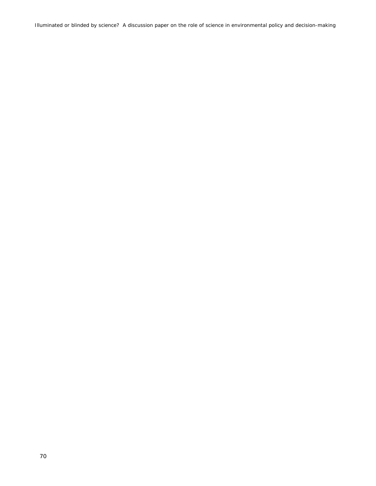Illuminated or blinded by science? A discussion paper on the role of science in environmental policy and decision-making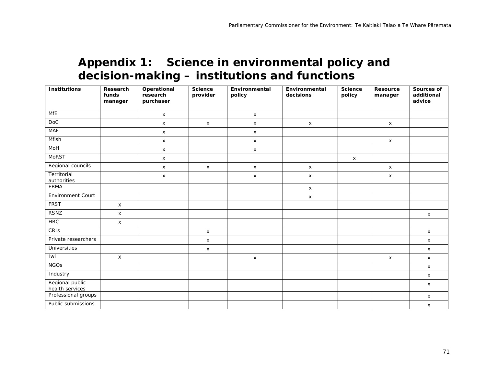## **Appendix 1: Science in environmental policy and decision-making – institutions and functions**

| <b>Institutions</b>                | Research<br>funds<br>manager | Operational<br>research<br>purchaser | <b>Science</b><br>provider | Environmental<br>policy   | Environmental<br>decisions | <b>Science</b><br>policy | <b>Resource</b><br>manager | Sources of<br>additional<br>advice |
|------------------------------------|------------------------------|--------------------------------------|----------------------------|---------------------------|----------------------------|--------------------------|----------------------------|------------------------------------|
| <b>MfE</b>                         |                              | $\boldsymbol{\mathsf{X}}$            |                            | $\mathsf{x}$              |                            |                          |                            |                                    |
| <b>DoC</b>                         |                              | $\pmb{\times}$                       | $\boldsymbol{\mathsf{x}}$  | $\pmb{\mathsf{x}}$        | X                          |                          | $\mathsf{x}$               |                                    |
| <b>MAF</b>                         |                              | $\pmb{\times}$                       |                            | $\pmb{\times}$            |                            |                          |                            |                                    |
| Mfish                              |                              | $\boldsymbol{\mathsf{x}}$            |                            | $\pmb{\times}$            |                            |                          | $\boldsymbol{\mathsf{x}}$  |                                    |
| <b>MoH</b>                         |                              | $\mathsf{x}$                         |                            | $\mathsf{x}$              |                            |                          |                            |                                    |
| <b>MoRST</b>                       |                              | $\mathsf{x}$                         |                            |                           |                            | $\pmb{\times}$           |                            |                                    |
| Regional councils                  |                              | $\mathsf{x}$                         | $\boldsymbol{\mathsf{x}}$  | $\boldsymbol{\mathsf{x}}$ | $\mathsf{x}$               |                          | $\mathsf{x}$               |                                    |
| Territorial<br>authorities         |                              | $\pmb{\times}$                       |                            | $\pmb{\times}$            | $\pmb{\times}$             |                          | $\mathsf{x}$               |                                    |
| ERMA                               |                              |                                      |                            |                           | $\mathsf{x}$               |                          |                            |                                    |
| Environment Court                  |                              |                                      |                            |                           | $\mathsf{x}$               |                          |                            |                                    |
| <b>FRST</b>                        | $\mathsf{X}$                 |                                      |                            |                           |                            |                          |                            |                                    |
| <b>RSNZ</b>                        | X                            |                                      |                            |                           |                            |                          |                            | $\boldsymbol{\mathsf{x}}$          |
| <b>HRC</b>                         | $\mathsf X$                  |                                      |                            |                           |                            |                          |                            |                                    |
| CRIS                               |                              |                                      | $\boldsymbol{\mathsf{x}}$  |                           |                            |                          |                            | $\mathsf{x}$                       |
| Private researchers                |                              |                                      | $\mathsf{x}$               |                           |                            |                          |                            | $\mathsf{x}$                       |
| Universities                       |                              |                                      | $\boldsymbol{\mathsf{x}}$  |                           |                            |                          |                            | $\mathsf{x}$                       |
| Iwi                                | $\mathsf X$                  |                                      |                            | $\pmb{\times}$            |                            |                          | $\pmb{\times}$             | $\mathsf{x}$                       |
| <b>NGOs</b>                        |                              |                                      |                            |                           |                            |                          |                            | $\mathsf{x}$                       |
| Industry                           |                              |                                      |                            |                           |                            |                          |                            | $\mathsf{x}$                       |
| Regional public<br>health services |                              |                                      |                            |                           |                            |                          |                            | $\mathsf{x}$                       |
| Professional groups                |                              |                                      |                            |                           |                            |                          |                            | $\mathsf{x}$                       |
| Public submissions                 |                              |                                      |                            |                           |                            |                          |                            | $\pmb{\times}$                     |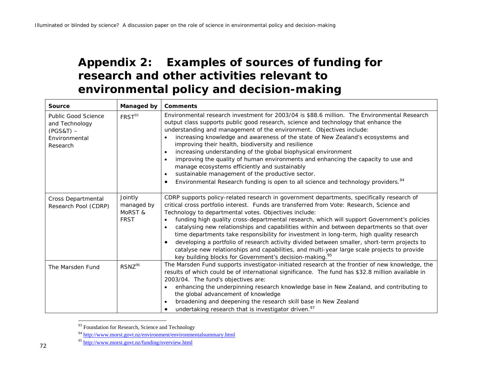## **Appendix 2: Examples of sources of funding for research and other activities relevant to environmental policy and decision-making**

| <b>Source</b>                                                                            | <b>Managed by</b>                               | <b>Comments</b>                                                                                                                                                                                                                                                                                                                                                                                                                                                                                                                                                                                                                                                                                                                                                                                            |
|------------------------------------------------------------------------------------------|-------------------------------------------------|------------------------------------------------------------------------------------------------------------------------------------------------------------------------------------------------------------------------------------------------------------------------------------------------------------------------------------------------------------------------------------------------------------------------------------------------------------------------------------------------------------------------------------------------------------------------------------------------------------------------------------------------------------------------------------------------------------------------------------------------------------------------------------------------------------|
| <b>Public Good Science</b><br>and Technology<br>$(PGS&T)$ –<br>Environmental<br>Research | FRST <sup>93</sup>                              | Environmental research investment for 2003/04 is \$88.6 million. The Environmental Research<br>output class supports public good research, science and technology that enhance the<br>understanding and management of the environment. Objectives include:<br>increasing knowledge and awareness of the state of New Zealand's ecosystems and<br>improving their health, biodiversity and resilience<br>increasing understanding of the global biophysical environment<br>$\bullet$<br>improving the quality of human environments and enhancing the capacity to use and<br>manage ecosystems efficiently and sustainably<br>sustainable management of the productive sector.<br>$\bullet$<br>Environmental Research funding is open to all science and technology providers. <sup>94</sup>                |
| Cross Departmental<br>Research Pool (CDRP)                                               | Jointly<br>managed by<br>MoRST &<br><b>FRST</b> | CDRP supports policy-related research in government departments, specifically research of<br>critical cross portfolio interest. Funds are transferred from Vote: Research, Science and<br>Technology to departmental votes. Objectives include:<br>funding high quality cross-departmental research, which will support Government's policies<br>catalysing new relationships and capabilities within and between departments so that over<br>time departments take responsibility for investment in long-term, high quality research<br>developing a portfolio of research activity divided between smaller, short-term projects to<br>catalyse new relationships and capabilities, and multi-year large scale projects to provide<br>key building blocks for Government's decision-making. <sup>95</sup> |
| The Marsden Fund                                                                         | $RSNZ^{96}$                                     | The Marsden Fund supports investigator-initiated research at the frontier of new knowledge, the<br>results of which could be of international significance. The fund has \$32.8 million available in<br>2003/04. The fund's objectives are:<br>enhancing the underpinning research knowledge base in New Zealand, and contributing to<br>the global advancement of knowledge<br>broadening and deepening the research skill base in New Zealand<br>undertaking research that is investigator driven. <sup>97</sup>                                                                                                                                                                                                                                                                                         |

<sup>&</sup>lt;sup>93</sup> Foundation for Research, Science and Technology

<sup>&</sup>lt;sup>94</sup> http://www.morst.govt.nz/environment/environmentalsummary.html

<sup>&</sup>lt;sup>95</sup> http://www.morst.govt.nz/funding/overview.html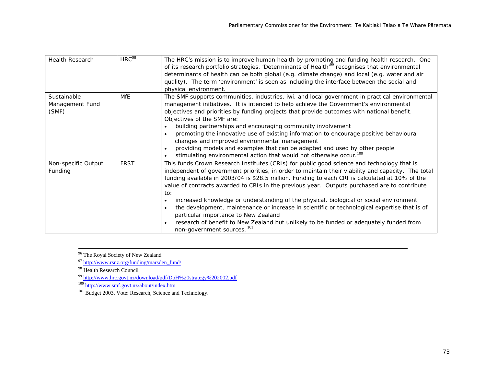| <b>Health Research</b> | $HRC^{98}$  | The HRC's mission is to improve human health by promoting and funding health research. One<br>of its research portfolio strategies, 'Determinants of Health' <sup>99</sup> recognises that environmental<br>determinants of health can be both global (e.g. climate change) and local (e.g. water and air<br>quality). The term 'environment' is seen as including the interface between the social and<br>physical environment. |
|------------------------|-------------|----------------------------------------------------------------------------------------------------------------------------------------------------------------------------------------------------------------------------------------------------------------------------------------------------------------------------------------------------------------------------------------------------------------------------------|
| Sustainable            | <b>MfE</b>  | The SMF supports communities, industries, iwi, and local government in practical environmental                                                                                                                                                                                                                                                                                                                                   |
| Management Fund        |             | management initiatives. It is intended to help achieve the Government's environmental                                                                                                                                                                                                                                                                                                                                            |
| (SMF)                  |             | objectives and priorities by funding projects that provide outcomes with national benefit.<br>Objectives of the SMF are:                                                                                                                                                                                                                                                                                                         |
|                        |             | building partnerships and encouraging community involvement                                                                                                                                                                                                                                                                                                                                                                      |
|                        |             | promoting the innovative use of existing information to encourage positive behavioural                                                                                                                                                                                                                                                                                                                                           |
|                        |             | changes and improved environmental management                                                                                                                                                                                                                                                                                                                                                                                    |
|                        |             | providing models and examples that can be adapted and used by other people<br>stimulating environmental action that would not otherwise occur. <sup>100</sup>                                                                                                                                                                                                                                                                    |
| Non-specific Output    | <b>FRST</b> | This funds Crown Research Institutes (CRIs) for public good science and technology that is                                                                                                                                                                                                                                                                                                                                       |
| Funding                |             | independent of government priorities, in order to maintain their viability and capacity. The total                                                                                                                                                                                                                                                                                                                               |
|                        |             | funding available in 2003/04 is \$28.5 million. Funding to each CRI is calculated at 10% of the                                                                                                                                                                                                                                                                                                                                  |
|                        |             | value of contracts awarded to CRIs in the previous year. Outputs purchased are to contribute                                                                                                                                                                                                                                                                                                                                     |
|                        |             | to:                                                                                                                                                                                                                                                                                                                                                                                                                              |
|                        |             | increased knowledge or understanding of the physical, biological or social environment<br>$\bullet$                                                                                                                                                                                                                                                                                                                              |
|                        |             | the development, maintenance or increase in scientific or technological expertise that is of                                                                                                                                                                                                                                                                                                                                     |
|                        |             | particular importance to New Zealand                                                                                                                                                                                                                                                                                                                                                                                             |
|                        |             | research of benefit to New Zealand but unlikely to be funded or adequately funded from<br>non-government sources. <sup>101</sup>                                                                                                                                                                                                                                                                                                 |

96 The Royal Society of New Zealand

<sup>97</sup> http://www.rsnz.org/funding/marsden\_fund/

<sup>98</sup> Health Research Council

<sup>99</sup> http://www.hrc.govt.nz/download/pdf/DoH%20strategy%202002.pdf<br><sup>100</sup> http://www.smf.govt.nz/about/index.htm

<sup>101</sup> Budget 2003, Vote: Research, Science and Technology.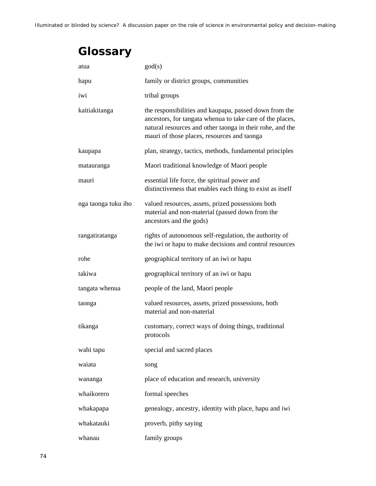## **Glossary**

| atua                | $\text{god}(s)$                                                                                                                                                                                                                 |
|---------------------|---------------------------------------------------------------------------------------------------------------------------------------------------------------------------------------------------------------------------------|
| hapu                | family or district groups, communities                                                                                                                                                                                          |
| iwi                 | tribal groups                                                                                                                                                                                                                   |
| kaitiakitanga       | the responsibilities and kaupapa, passed down from the<br>ancestors, for tangata whenua to take care of the places,<br>natural resources and other taonga in their rohe, and the<br>mauri of those places, resources and taonga |
| kaupapa             | plan, strategy, tactics, methods, fundamental principles                                                                                                                                                                        |
| matauranga          | Maori traditional knowledge of Maori people                                                                                                                                                                                     |
| mauri               | essential life force, the spiritual power and<br>distinctiveness that enables each thing to exist as itself                                                                                                                     |
| nga taonga tuku iho | valued resources, assets, prized possessions both<br>material and non-material (passed down from the<br>ancestors and the gods)                                                                                                 |
| rangatiratanga      | rights of autonomous self-regulation, the authority of<br>the iwi or hapu to make decisions and control resources                                                                                                               |
| rohe                | geographical territory of an iwi or hapu                                                                                                                                                                                        |
| takiwa              | geographical territory of an iwi or hapu                                                                                                                                                                                        |
| tangata whenua      | people of the land, Maori people                                                                                                                                                                                                |
| taonga              | valued resources, assets, prized possessions, both<br>material and non-material                                                                                                                                                 |
| tikanga             | customary, correct ways of doing things, traditional<br>protocols                                                                                                                                                               |
| wahi tapu           | special and sacred places                                                                                                                                                                                                       |
| waiata              | song                                                                                                                                                                                                                            |
| wananga             | place of education and research, university                                                                                                                                                                                     |
| whaikorero          | formal speeches                                                                                                                                                                                                                 |
| whakapapa           | genealogy, ancestry, identity with place, hapu and iwi                                                                                                                                                                          |
| whakatauki          | proverb, pithy saying                                                                                                                                                                                                           |
| whanau              | family groups                                                                                                                                                                                                                   |